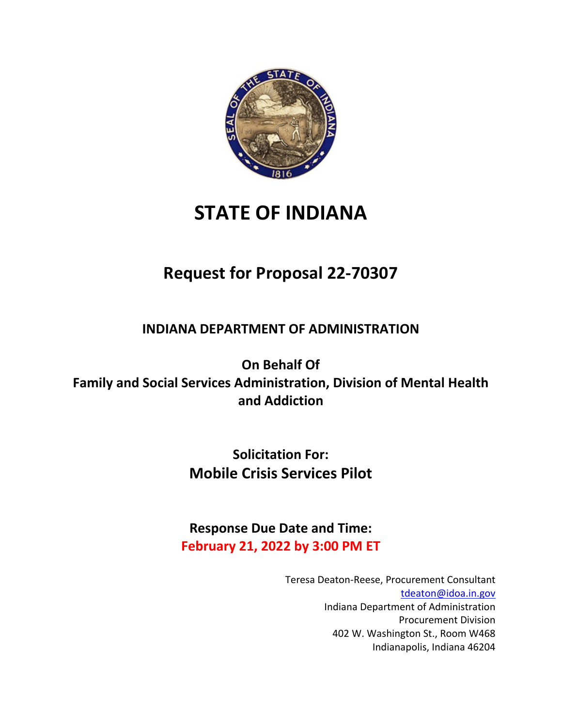

# **STATE OF INDIANA**

## **Request for Proposal 22-70307**

**INDIANA DEPARTMENT OF ADMINISTRATION**

**On Behalf Of Family and Social Services Administration, Division of Mental Health and Addiction**

> **Solicitation For: Mobile Crisis Services Pilot**

**Response Due Date and Time: February 21, 2022 by 3:00 PM ET**

> Teresa Deaton-Reese, Procurement Consultant [tdeaton@idoa.in.gov](mailto:tdeaton@idoa.in.gov) Indiana Department of Administration Procurement Division 402 W. Washington St., Room W468 Indianapolis, Indiana 46204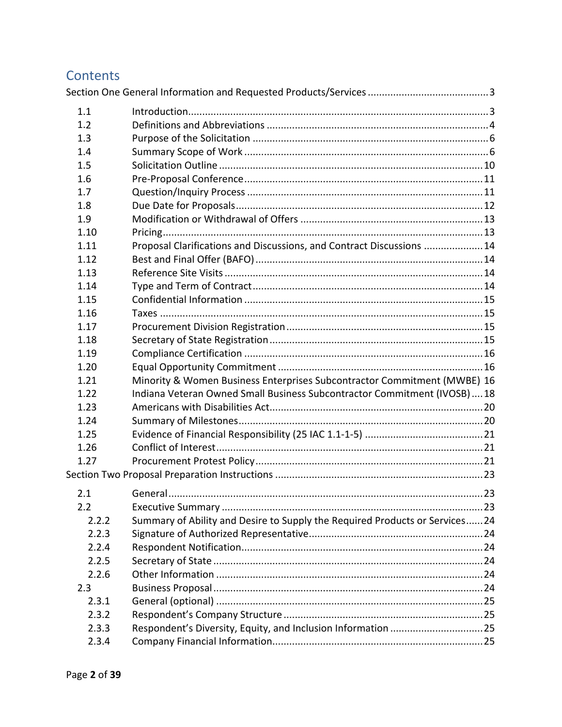## Contents

| 1.1   |                                                                             |  |
|-------|-----------------------------------------------------------------------------|--|
| 1.2   |                                                                             |  |
| 1.3   |                                                                             |  |
| 1.4   |                                                                             |  |
| 1.5   |                                                                             |  |
| 1.6   |                                                                             |  |
| 1.7   |                                                                             |  |
| 1.8   |                                                                             |  |
| 1.9   |                                                                             |  |
| 1.10  |                                                                             |  |
| 1.11  | Proposal Clarifications and Discussions, and Contract Discussions 14        |  |
| 1.12  |                                                                             |  |
| 1.13  |                                                                             |  |
| 1.14  |                                                                             |  |
| 1.15  |                                                                             |  |
| 1.16  |                                                                             |  |
| 1.17  |                                                                             |  |
| 1.18  |                                                                             |  |
| 1.19  |                                                                             |  |
| 1.20  |                                                                             |  |
| 1.21  | Minority & Women Business Enterprises Subcontractor Commitment (MWBE) 16    |  |
| 1.22  | Indiana Veteran Owned Small Business Subcontractor Commitment (IVOSB)18     |  |
| 1.23  |                                                                             |  |
| 1.24  |                                                                             |  |
| 1.25  |                                                                             |  |
| 1.26  |                                                                             |  |
| 1.27  |                                                                             |  |
|       |                                                                             |  |
| 2.1   |                                                                             |  |
| 2.2   |                                                                             |  |
| 2.2.2 | Summary of Ability and Desire to Supply the Required Products or Services24 |  |
| 2.2.3 |                                                                             |  |
| 2.2.4 |                                                                             |  |
| 2.2.5 |                                                                             |  |
| 2.2.6 |                                                                             |  |
| 2.3   |                                                                             |  |
| 2.3.1 |                                                                             |  |
| 2.3.2 |                                                                             |  |
| 2.3.3 |                                                                             |  |
| 2.3.4 |                                                                             |  |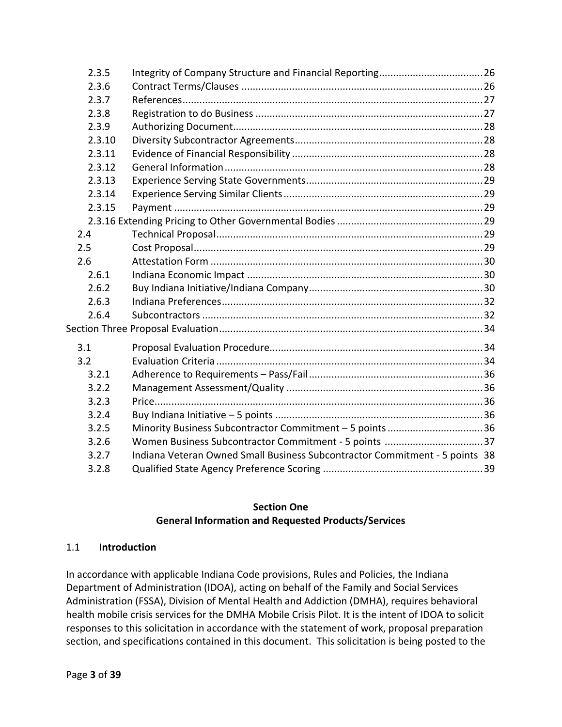| 2.3.5  |                                                                             |  |
|--------|-----------------------------------------------------------------------------|--|
| 2.3.6  |                                                                             |  |
| 2.3.7  |                                                                             |  |
| 2.3.8  |                                                                             |  |
| 2.3.9  |                                                                             |  |
| 2.3.10 |                                                                             |  |
| 2.3.11 |                                                                             |  |
| 2.3.12 |                                                                             |  |
| 2.3.13 |                                                                             |  |
| 2.3.14 |                                                                             |  |
| 2.3.15 |                                                                             |  |
|        |                                                                             |  |
| 2.4    |                                                                             |  |
| 2.5    |                                                                             |  |
| 2.6    |                                                                             |  |
| 2.6.1  |                                                                             |  |
| 2.6.2  |                                                                             |  |
| 2.6.3  |                                                                             |  |
| 2.6.4  |                                                                             |  |
|        |                                                                             |  |
| 3.1    |                                                                             |  |
| 3.2    |                                                                             |  |
| 3.2.1  |                                                                             |  |
| 3.2.2  |                                                                             |  |
| 3.2.3  |                                                                             |  |
| 3.2.4  |                                                                             |  |
| 3.2.5  | Minority Business Subcontractor Commitment - 5 points 36                    |  |
| 3.2.6  | Women Business Subcontractor Commitment - 5 points 37                       |  |
| 3.2.7  | Indiana Veteran Owned Small Business Subcontractor Commitment - 5 points 38 |  |
| 3.2.8  |                                                                             |  |

#### **Section One General Information and Requested Products/Services**

#### <span id="page-2-1"></span><span id="page-2-0"></span>1.1 **Introduction**

In accordance with applicable Indiana Code provisions, Rules and Policies, the Indiana Department of Administration (IDOA), acting on behalf of the Family and Social Services Administration (FSSA), Division of Mental Health and Addiction (DMHA), requires behavioral health mobile crisis services for the DMHA Mobile Crisis Pilot. It is the intent of IDOA to solicit responses to this solicitation in accordance with the statement of work, proposal preparation section, and specifications contained in this document. This solicitation is being posted to the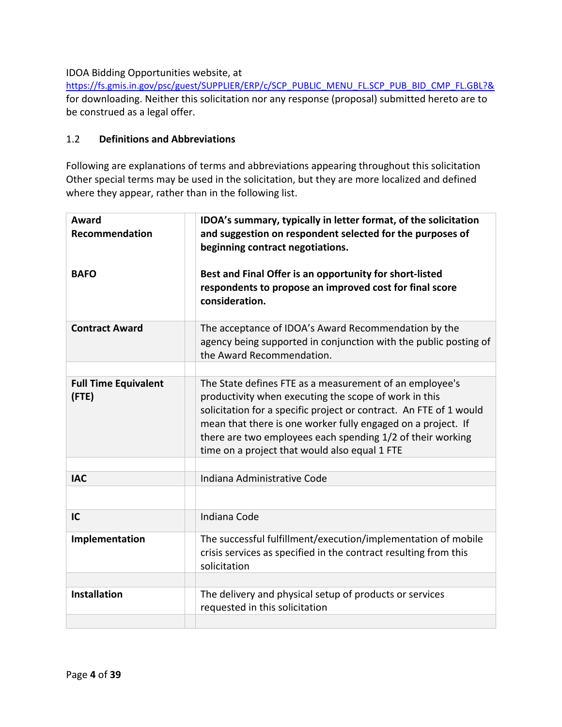#### IDOA Bidding Opportunities website, at

[https://fs.gmis.in.gov/psc/guest/SUPPLIER/ERP/c/SCP\\_PUBLIC\\_MENU\\_FL.SCP\\_PUB\\_BID\\_CMP\\_FL.GBL?&](https://fs.gmis.in.gov/psc/guest/SUPPLIER/ERP/c/SCP_PUBLIC_MENU_FL.SCP_PUB_BID_CMP_FL.GBL?&) for downloading. Neither this solicitation nor any response (proposal) submitted hereto are to be construed as a legal offer.

#### <span id="page-3-0"></span>1.2 **Definitions and Abbreviations**

Following are explanations of terms and abbreviations appearing throughout this solicitation Other special terms may be used in the solicitation, but they are more localized and defined where they appear, rather than in the following list.

| Award<br><b>Recommendation</b>             | IDOA's summary, typically in letter format, of the solicitation<br>and suggestion on respondent selected for the purposes of<br>beginning contract negotiations.                                                                                                                                                                                                      |
|--------------------------------------------|-----------------------------------------------------------------------------------------------------------------------------------------------------------------------------------------------------------------------------------------------------------------------------------------------------------------------------------------------------------------------|
| <b>BAFO</b>                                | Best and Final Offer is an opportunity for short-listed<br>respondents to propose an improved cost for final score<br>consideration.                                                                                                                                                                                                                                  |
| <b>Contract Award</b>                      | The acceptance of IDOA's Award Recommendation by the<br>agency being supported in conjunction with the public posting of<br>the Award Recommendation.                                                                                                                                                                                                                 |
|                                            |                                                                                                                                                                                                                                                                                                                                                                       |
| <b>Full Time Equivalent</b><br>$($ FTE $)$ | The State defines FTE as a measurement of an employee's<br>productivity when executing the scope of work in this<br>solicitation for a specific project or contract. An FTE of 1 would<br>mean that there is one worker fully engaged on a project. If<br>there are two employees each spending 1/2 of their working<br>time on a project that would also equal 1 FTE |
|                                            |                                                                                                                                                                                                                                                                                                                                                                       |
| <b>IAC</b>                                 | Indiana Administrative Code                                                                                                                                                                                                                                                                                                                                           |
|                                            |                                                                                                                                                                                                                                                                                                                                                                       |
| IC                                         | Indiana Code                                                                                                                                                                                                                                                                                                                                                          |
| Implementation                             | The successful fulfillment/execution/implementation of mobile<br>crisis services as specified in the contract resulting from this<br>solicitation                                                                                                                                                                                                                     |
|                                            |                                                                                                                                                                                                                                                                                                                                                                       |
| <b>Installation</b>                        | The delivery and physical setup of products or services<br>requested in this solicitation                                                                                                                                                                                                                                                                             |
|                                            |                                                                                                                                                                                                                                                                                                                                                                       |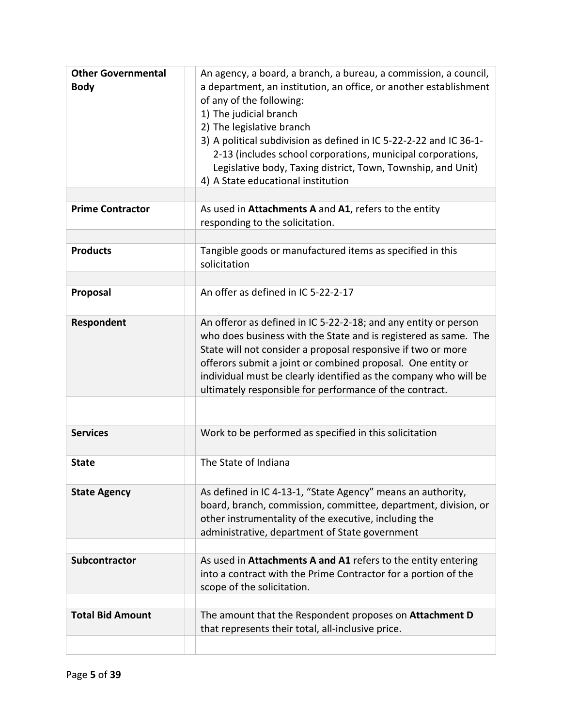| <b>Other Governmental</b><br><b>Body</b> | An agency, a board, a branch, a bureau, a commission, a council,<br>a department, an institution, an office, or another establishment<br>of any of the following:<br>1) The judicial branch<br>2) The legislative branch<br>3) A political subdivision as defined in IC 5-22-2-22 and IC 36-1-<br>2-13 (includes school corporations, municipal corporations,<br>Legislative body, Taxing district, Town, Township, and Unit)<br>4) A State educational institution |
|------------------------------------------|---------------------------------------------------------------------------------------------------------------------------------------------------------------------------------------------------------------------------------------------------------------------------------------------------------------------------------------------------------------------------------------------------------------------------------------------------------------------|
| <b>Prime Contractor</b>                  | As used in Attachments A and A1, refers to the entity<br>responding to the solicitation.                                                                                                                                                                                                                                                                                                                                                                            |
| <b>Products</b>                          | Tangible goods or manufactured items as specified in this<br>solicitation                                                                                                                                                                                                                                                                                                                                                                                           |
| Proposal                                 | An offer as defined in IC 5-22-2-17                                                                                                                                                                                                                                                                                                                                                                                                                                 |
| Respondent                               | An offeror as defined in IC 5-22-2-18; and any entity or person<br>who does business with the State and is registered as same. The<br>State will not consider a proposal responsive if two or more<br>offerors submit a joint or combined proposal. One entity or<br>individual must be clearly identified as the company who will be<br>ultimately responsible for performance of the contract.                                                                    |
| <b>Services</b>                          | Work to be performed as specified in this solicitation                                                                                                                                                                                                                                                                                                                                                                                                              |
| <b>State</b>                             | The State of Indiana                                                                                                                                                                                                                                                                                                                                                                                                                                                |
| <b>State Agency</b>                      | As defined in IC 4-13-1, "State Agency" means an authority,<br>board, branch, commission, committee, department, division, or<br>other instrumentality of the executive, including the<br>administrative, department of State government                                                                                                                                                                                                                            |
| Subcontractor                            | As used in Attachments A and A1 refers to the entity entering<br>into a contract with the Prime Contractor for a portion of the<br>scope of the solicitation.                                                                                                                                                                                                                                                                                                       |
| <b>Total Bid Amount</b>                  | The amount that the Respondent proposes on <b>Attachment D</b><br>that represents their total, all-inclusive price.                                                                                                                                                                                                                                                                                                                                                 |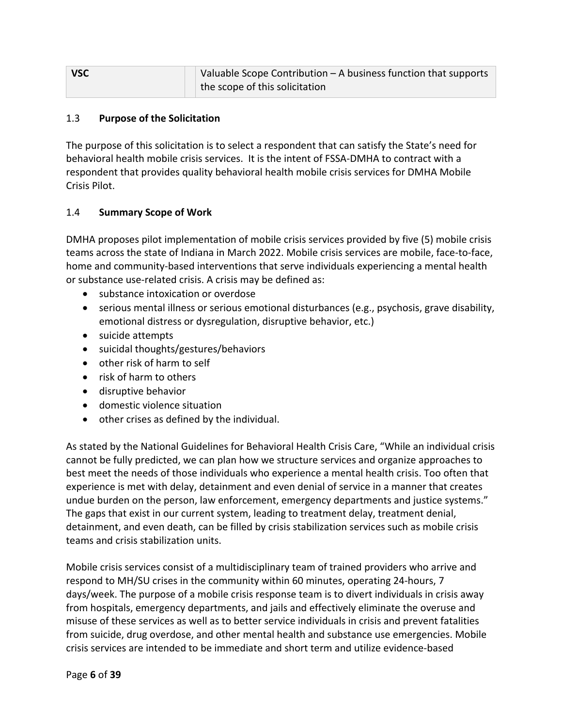| $\overline{\phantom{a}}$ vsc | Valuable Scope Contribution - A business function that supports |
|------------------------------|-----------------------------------------------------------------|
|                              | the scope of this solicitation                                  |

#### <span id="page-5-0"></span>1.3 **Purpose of the Solicitation**

The purpose of this solicitation is to select a respondent that can satisfy the State's need for behavioral health mobile crisis services. It is the intent of FSSA-DMHA to contract with a respondent that provides quality behavioral health mobile crisis services for DMHA Mobile Crisis Pilot.

#### <span id="page-5-1"></span>1.4 **Summary Scope of Work**

DMHA proposes pilot implementation of mobile crisis services provided by five (5) mobile crisis teams across the state of Indiana in March 2022. Mobile crisis services are mobile, face-to-face, home and community-based interventions that serve individuals experiencing a mental health or substance use-related crisis. A crisis may be defined as:

- substance intoxication or overdose
- serious mental illness or serious emotional disturbances (e.g., psychosis, grave disability, emotional distress or dysregulation, disruptive behavior, etc.)
- suicide attempts
- suicidal thoughts/gestures/behaviors
- other risk of harm to self
- risk of harm to others
- disruptive behavior
- domestic violence situation
- other crises as defined by the individual.

As stated by the National Guidelines for Behavioral Health Crisis Care, "While an individual crisis cannot be fully predicted, we can plan how we structure services and organize approaches to best meet the needs of those individuals who experience a mental health crisis. Too often that experience is met with delay, detainment and even denial of service in a manner that creates undue burden on the person, law enforcement, emergency departments and justice systems." The gaps that exist in our current system, leading to treatment delay, treatment denial, detainment, and even death, can be filled by crisis stabilization services such as mobile crisis teams and crisis stabilization units.

Mobile crisis services consist of a multidisciplinary team of trained providers who arrive and respond to MH/SU crises in the community within 60 minutes, operating 24-hours, 7 days/week. The purpose of a mobile crisis response team is to divert individuals in crisis away from hospitals, emergency departments, and jails and effectively eliminate the overuse and misuse of these services as well as to better service individuals in crisis and prevent fatalities from suicide, drug overdose, and other mental health and substance use emergencies. Mobile crisis services are intended to be immediate and short term and utilize evidence-based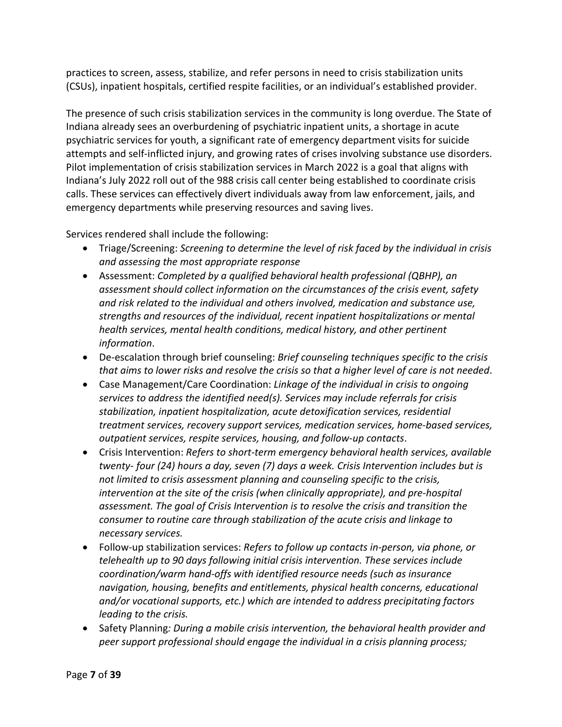practices to screen, assess, stabilize, and refer persons in need to crisis stabilization units (CSUs), inpatient hospitals, certified respite facilities, or an individual's established provider.

The presence of such crisis stabilization services in the community is long overdue. The State of Indiana already sees an overburdening of psychiatric inpatient units, a shortage in acute psychiatric services for youth, a significant rate of emergency department visits for suicide attempts and self-inflicted injury, and growing rates of crises involving substance use disorders. Pilot implementation of crisis stabilization services in March 2022 is a goal that aligns with Indiana's July 2022 roll out of the 988 crisis call center being established to coordinate crisis calls. These services can effectively divert individuals away from law enforcement, jails, and emergency departments while preserving resources and saving lives.

Services rendered shall include the following:

- Triage/Screening: *Screening to determine the level of risk faced by the individual in crisis and assessing the most appropriate response*
- Assessment: *Completed by a qualified behavioral health professional (QBHP), an assessment should collect information on the circumstances of the crisis event, safety and risk related to the individual and others involved, medication and substance use, strengths and resources of the individual, recent inpatient hospitalizations or mental health services, mental health conditions, medical history, and other pertinent information*.
- De-escalation through brief counseling: *Brief counseling techniques specific to the crisis that aims to lower risks and resolve the crisis so that a higher level of care is not needed*.
- Case Management/Care Coordination: *Linkage of the individual in crisis to ongoing services to address the identified need(s). Services may include referrals for crisis stabilization, inpatient hospitalization, acute detoxification services, residential treatment services, recovery support services, medication services, home-based services, outpatient services, respite services, housing, and follow-up contacts*.
- Crisis Intervention: *Refers to short-term emergency behavioral health services, available twenty- four (24) hours a day, seven (7) days a week. Crisis Intervention includes but is not limited to crisis assessment planning and counseling specific to the crisis, intervention at the site of the crisis (when clinically appropriate), and pre-hospital assessment. The goal of Crisis Intervention is to resolve the crisis and transition the consumer to routine care through stabilization of the acute crisis and linkage to necessary services.*
- Follow-up stabilization services: *Refers to follow up contacts in-person, via phone, or telehealth up to 90 days following initial crisis intervention. These services include coordination/warm hand-offs with identified resource needs (such as insurance navigation, housing, benefits and entitlements, physical health concerns, educational and/or vocational supports, etc.) which are intended to address precipitating factors leading to the crisis.*
- Safety Planning*: During a mobile crisis intervention, the behavioral health provider and peer support professional should engage the individual in a crisis planning process;*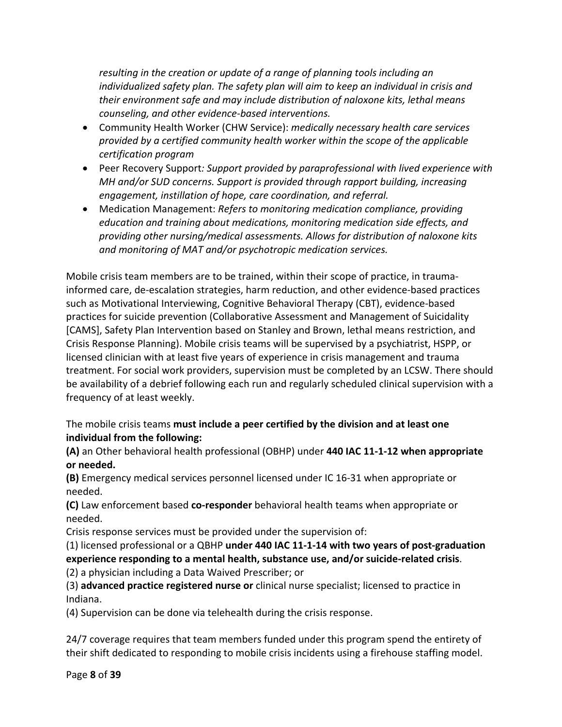*resulting in the creation or update of a range of planning tools including an individualized safety plan. The safety plan will aim to keep an individual in crisis and their environment safe and may include distribution of naloxone kits, lethal means counseling, and other evidence-based interventions.*

- Community Health Worker (CHW Service): *medically necessary health care services provided by a certified community health worker within the scope of the applicable certification program*
- Peer Recovery Support*: Support provided by paraprofessional with lived experience with MH and/or SUD concerns. Support is provided through rapport building, increasing engagement, instillation of hope, care coordination, and referral.*
- Medication Management: *Refers to monitoring medication compliance, providing education and training about medications, monitoring medication side effects, and providing other nursing/medical assessments. Allows for distribution of naloxone kits and monitoring of MAT and/or psychotropic medication services.*

Mobile crisis team members are to be trained, within their scope of practice, in traumainformed care, de-escalation strategies, harm reduction, and other evidence-based practices such as Motivational Interviewing, Cognitive Behavioral Therapy (CBT), evidence-based practices for suicide prevention (Collaborative Assessment and Management of Suicidality [CAMS], Safety Plan Intervention based on Stanley and Brown, lethal means restriction, and Crisis Response Planning). Mobile crisis teams will be supervised by a psychiatrist, HSPP, or licensed clinician with at least five years of experience in crisis management and trauma treatment. For social work providers, supervision must be completed by an LCSW. There should be availability of a debrief following each run and regularly scheduled clinical supervision with a frequency of at least weekly.

The mobile crisis teams **must include a peer certified by the division and at least one individual from the following:**

**(A)** an Other behavioral health professional (OBHP) under **440 IAC 11-1-12 when appropriate or needed.**

**(B)** Emergency medical services personnel licensed under IC 16-31 when appropriate or needed.

**(C)** Law enforcement based **co-responder** behavioral health teams when appropriate or needed.

Crisis response services must be provided under the supervision of:

(1) licensed professional or a QBHP **under 440 IAC 11-1-14 with two years of post-graduation experience responding to a mental health, substance use, and/or suicide-related crisis**. (2) a physician including a Data Waived Prescriber; or

(3) **advanced practice registered nurse or** clinical nurse specialist; licensed to practice in Indiana.

(4) Supervision can be done via telehealth during the crisis response.

24/7 coverage requires that team members funded under this program spend the entirety of their shift dedicated to responding to mobile crisis incidents using a firehouse staffing model.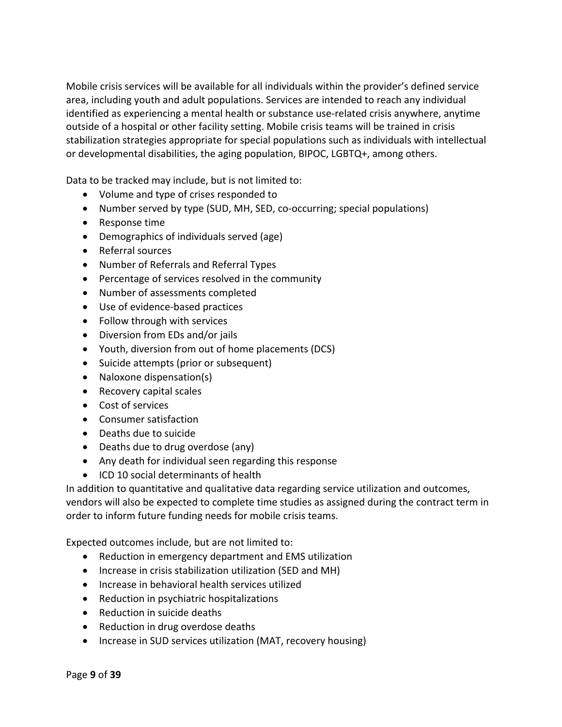Mobile crisis services will be available for all individuals within the provider's defined service area, including youth and adult populations. Services are intended to reach any individual identified as experiencing a mental health or substance use-related crisis anywhere, anytime outside of a hospital or other facility setting. Mobile crisis teams will be trained in crisis stabilization strategies appropriate for special populations such as individuals with intellectual or developmental disabilities, the aging population, BIPOC, LGBTQ+, among others.

Data to be tracked may include, but is not limited to:

- Volume and type of crises responded to
- Number served by type (SUD, MH, SED, co-occurring; special populations)
- Response time
- Demographics of individuals served (age)
- Referral sources
- Number of Referrals and Referral Types
- Percentage of services resolved in the community
- Number of assessments completed
- Use of evidence-based practices
- Follow through with services
- Diversion from EDs and/or jails
- Youth, diversion from out of home placements (DCS)
- Suicide attempts (prior or subsequent)
- Naloxone dispensation(s)
- Recovery capital scales
- Cost of services
- Consumer satisfaction
- Deaths due to suicide
- Deaths due to drug overdose (any)
- Any death for individual seen regarding this response
- ICD 10 social determinants of health

In addition to quantitative and qualitative data regarding service utilization and outcomes, vendors will also be expected to complete time studies as assigned during the contract term in order to inform future funding needs for mobile crisis teams.

Expected outcomes include, but are not limited to:

- Reduction in emergency department and EMS utilization
- Increase in crisis stabilization utilization (SED and MH)
- Increase in behavioral health services utilized
- Reduction in psychiatric hospitalizations
- Reduction in suicide deaths
- Reduction in drug overdose deaths
- Increase in SUD services utilization (MAT, recovery housing)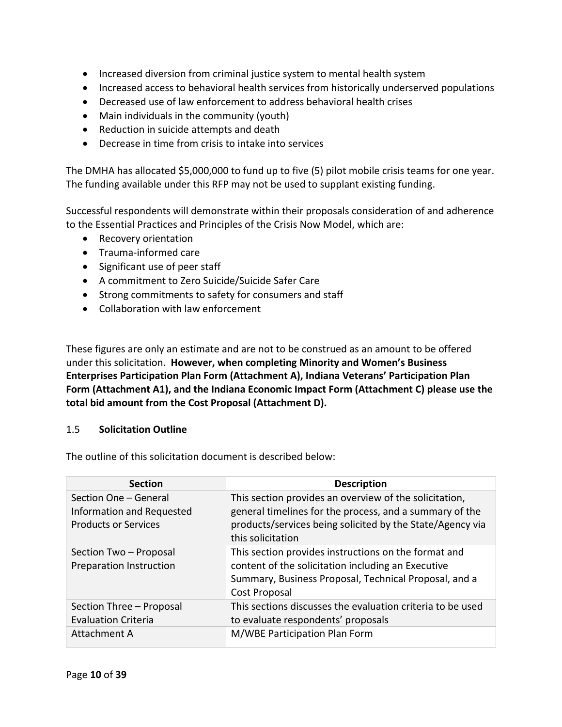- Increased diversion from criminal justice system to mental health system
- Increased access to behavioral health services from historically underserved populations
- Decreased use of law enforcement to address behavioral health crises
- Main individuals in the community (youth)
- Reduction in suicide attempts and death
- Decrease in time from crisis to intake into services

The DMHA has allocated \$5,000,000 to fund up to five (5) pilot mobile crisis teams for one year. The funding available under this RFP may not be used to supplant existing funding.

Successful respondents will demonstrate within their proposals consideration of and adherence to the Essential Practices and Principles of the Crisis Now Model, which are:

- Recovery orientation
- Trauma-informed care
- Significant use of peer staff
- A commitment to Zero Suicide/Suicide Safer Care
- Strong commitments to safety for consumers and staff
- Collaboration with law enforcement

These figures are only an estimate and are not to be construed as an amount to be offered under this solicitation. **However, when completing Minority and Women's Business Enterprises Participation Plan Form (Attachment A), Indiana Veterans' Participation Plan Form (Attachment A1), and the Indiana Economic Impact Form (Attachment C) please use the total bid amount from the Cost Proposal (Attachment D).**

#### <span id="page-9-0"></span>1.5 **Solicitation Outline**

The outline of this solicitation document is described below:

| <b>Section</b>                 | <b>Description</b>                                         |
|--------------------------------|------------------------------------------------------------|
| Section One - General          | This section provides an overview of the solicitation,     |
| Information and Requested      | general timelines for the process, and a summary of the    |
| <b>Products or Services</b>    | products/services being solicited by the State/Agency via  |
|                                | this solicitation                                          |
| Section Two - Proposal         | This section provides instructions on the format and       |
| <b>Preparation Instruction</b> | content of the solicitation including an Executive         |
|                                | Summary, Business Proposal, Technical Proposal, and a      |
|                                | Cost Proposal                                              |
| Section Three - Proposal       | This sections discusses the evaluation criteria to be used |
| <b>Evaluation Criteria</b>     | to evaluate respondents' proposals                         |
| Attachment A                   | M/WBE Participation Plan Form                              |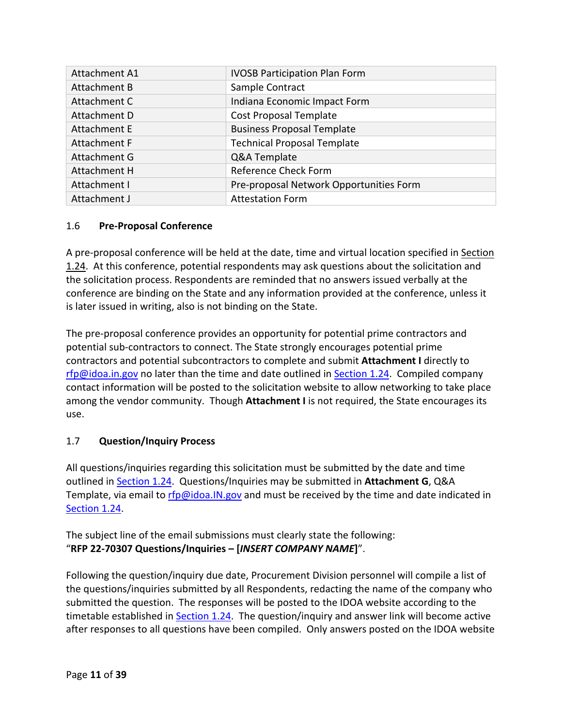| <b>Attachment A1</b> | <b>IVOSB Participation Plan Form</b>    |
|----------------------|-----------------------------------------|
| Attachment B         | Sample Contract                         |
| Attachment C         | Indiana Economic Impact Form            |
| Attachment D         | <b>Cost Proposal Template</b>           |
| <b>Attachment E</b>  | <b>Business Proposal Template</b>       |
| Attachment F         | <b>Technical Proposal Template</b>      |
| Attachment G         | Q&A Template                            |
| Attachment H         | Reference Check Form                    |
| Attachment I         | Pre-proposal Network Opportunities Form |
| Attachment J         | <b>Attestation Form</b>                 |

## <span id="page-10-0"></span>1.6 **Pre-Proposal Conference**

A pre-proposal conference will be held at the date, time and virtual location specified in [Section](#page-19-1)  [1.24.](#page-19-1) At this conference, potential respondents may ask questions about the solicitation and the solicitation process. Respondents are reminded that no answers issued verbally at the conference are binding on the State and any information provided at the conference, unless it is later issued in writing, also is not binding on the State.

The pre-proposal conference provides an opportunity for potential prime contractors and potential sub-contractors to connect. The State strongly encourages potential prime contractors and potential subcontractors to complete and submit **Attachment I** directly to [rfp@idoa.in.gov](mailto:rfp@idoa.in.gov) no later than the time and date outlined in [Section 1.24.](#page-19-1) Compiled company contact information will be posted to the solicitation website to allow networking to take place among the vendor community. Though **Attachment I** is not required, the State encourages its use.

## <span id="page-10-1"></span>1.7 **Question/Inquiry Process**

All questions/inquiries regarding this solicitation must be submitted by the date and time outlined in [Section 1.24.](#page-19-1) Questions/Inquiries may be submitted in **Attachment G**, Q&A Template, via email to [rfp@idoa.IN.gov](mailto:rfp@idoa.IN.gov) and must be received by the time and date indicated in [Section 1.24.](#page-19-1)

The subject line of the email submissions must clearly state the following: "**RFP 22-70307 Questions/Inquiries – [***INSERT COMPANY NAME***]**".

Following the question/inquiry due date, Procurement Division personnel will compile a list of the questions/inquiries submitted by all Respondents, redacting the name of the company who submitted the question. The responses will be posted to the IDOA website according to the timetable established in **Section 1.24.** The question/inquiry and answer link will become active after responses to all questions have been compiled. Only answers posted on the IDOA website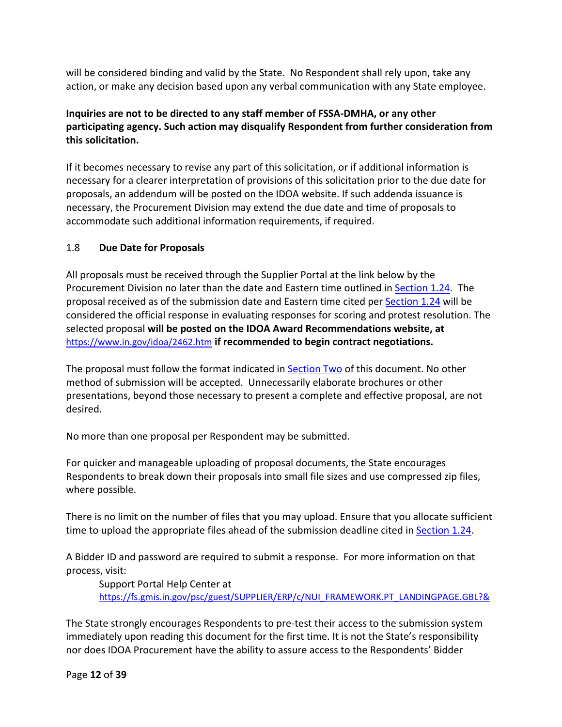will be considered binding and valid by the State. No Respondent shall rely upon, take any action, or make any decision based upon any verbal communication with any State employee.

## **Inquiries are not to be directed to any staff member of FSSA-DMHA, or any other participating agency. Such action may disqualify Respondent from further consideration from this solicitation.**

If it becomes necessary to revise any part of this solicitation, or if additional information is necessary for a clearer interpretation of provisions of this solicitation prior to the due date for proposals, an addendum will be posted on the IDOA website. If such addenda issuance is necessary, the Procurement Division may extend the due date and time of proposals to accommodate such additional information requirements, if required.

## <span id="page-11-0"></span>1.8 **Due Date for Proposals**

All proposals must be received through the Supplier Portal at the link below by the Procurement Division no later than the date and Eastern time outlined in [Section 1.24.](#page-19-1) The proposal received as of the submission date and Eastern time cited per [Section 1.24](#page-19-1) will be considered the official response in evaluating responses for scoring and protest resolution. The selected proposal **will be posted on the IDOA Award Recommendations website, at**  <https://www.in.gov/idoa/2462.htm> **if recommended to begin contract negotiations.** 

The proposal must follow the format indicated in [Section Two](#page-22-0) of this document. No other method of submission will be accepted. Unnecessarily elaborate brochures or other presentations, beyond those necessary to present a complete and effective proposal, are not desired.

No more than one proposal per Respondent may be submitted.

For quicker and manageable uploading of proposal documents, the State encourages Respondents to break down their proposals into small file sizes and use compressed zip files, where possible.

There is no limit on the number of files that you may upload. Ensure that you allocate sufficient time to upload the appropriate files ahead of the submission deadline cited i[n Section 1.24.](#page-19-1)

A Bidder ID and password are required to submit a response. For more information on that process, visit:

Support Portal Help Center at [https://fs.gmis.in.gov/psc/guest/SUPPLIER/ERP/c/NUI\\_FRAMEWORK.PT\\_LANDINGPAGE.GBL?&](https://fs.gmis.in.gov/psc/guest/SUPPLIER/ERP/c/NUI_FRAMEWORK.PT_LANDINGPAGE.GBL?&)

The State strongly encourages Respondents to pre-test their access to the submission system immediately upon reading this document for the first time. It is not the State's responsibility nor does IDOA Procurement have the ability to assure access to the Respondents' Bidder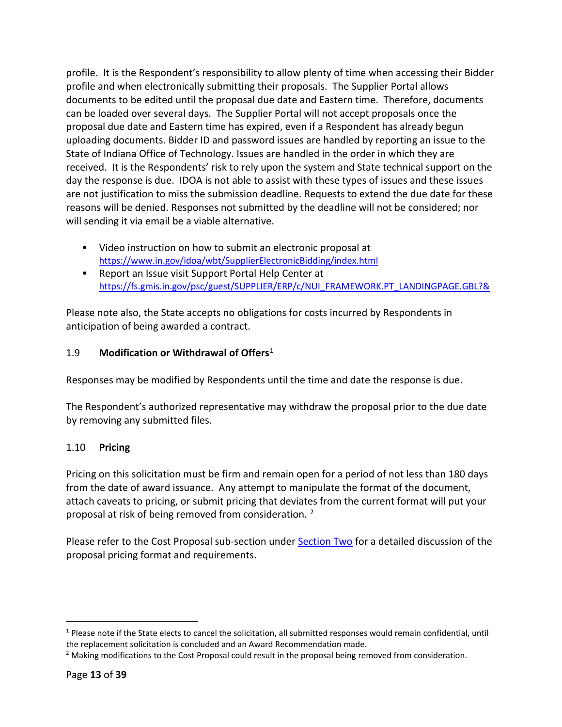profile. It is the Respondent's responsibility to allow plenty of time when accessing their Bidder profile and when electronically submitting their proposals. The Supplier Portal allows documents to be edited until the proposal due date and Eastern time. Therefore, documents can be loaded over several days. The Supplier Portal will not accept proposals once the proposal due date and Eastern time has expired, even if a Respondent has already begun uploading documents. Bidder ID and password issues are handled by reporting an issue to the State of Indiana Office of Technology. Issues are handled in the order in which they are received. It is the Respondents' risk to rely upon the system and State technical support on the day the response is due. IDOA is not able to assist with these types of issues and these issues are not justification to miss the submission deadline. Requests to extend the due date for these reasons will be denied. Responses not submitted by the deadline will not be considered; nor will sending it via email be a viable alternative.

- Video instruction on how to submit an electronic proposal at <https://www.in.gov/idoa/wbt/SupplierElectronicBidding/index.html>
- **Report an Issue visit Support Portal Help Center at** [https://fs.gmis.in.gov/psc/guest/SUPPLIER/ERP/c/NUI\\_FRAMEWORK.PT\\_LANDINGPAGE.GBL?&](https://fs.gmis.in.gov/psc/guest/SUPPLIER/ERP/c/NUI_FRAMEWORK.PT_LANDINGPAGE.GBL?&)

Please note also, the State accepts no obligations for costs incurred by Respondents in anticipation of being awarded a contract.

## <span id="page-12-0"></span>1.9 **Modification or Withdrawal of Offers**[1](#page-12-2)

Responses may be modified by Respondents until the time and date the response is due.

The Respondent's authorized representative may withdraw the proposal prior to the due date by removing any submitted files.

#### <span id="page-12-1"></span>1.10 **Pricing**

Pricing on this solicitation must be firm and remain open for a period of not less than 180 days from the date of award issuance. Any attempt to manipulate the format of the document, attach caveats to pricing, or submit pricing that deviates from the current format will put your proposal at risk of being removed from consideration. [2](#page-12-3)

Please refer to the Cost Proposal sub-section under [Section Two](#page-22-0) for a detailed discussion of the proposal pricing format and requirements.

<span id="page-12-2"></span> $1$  Please note if the State elects to cancel the solicitation, all submitted responses would remain confidential, until the replacement solicitation is concluded and an Award Recommendation made.<br><sup>2</sup> Making modifications to the Cost Proposal could result in the proposal being removed from consideration.

<span id="page-12-3"></span>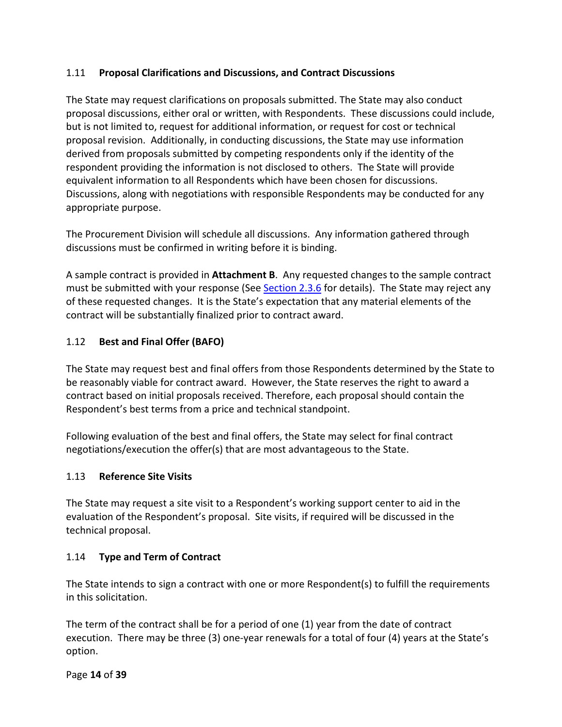### <span id="page-13-0"></span>1.11 **Proposal Clarifications and Discussions, and Contract Discussions**

The State may request clarifications on proposals submitted. The State may also conduct proposal discussions, either oral or written, with Respondents. These discussions could include, but is not limited to, request for additional information, or request for cost or technical proposal revision. Additionally, in conducting discussions, the State may use information derived from proposals submitted by competing respondents only if the identity of the respondent providing the information is not disclosed to others. The State will provide equivalent information to all Respondents which have been chosen for discussions. Discussions, along with negotiations with responsible Respondents may be conducted for any appropriate purpose.

The Procurement Division will schedule all discussions. Any information gathered through discussions must be confirmed in writing before it is binding.

A sample contract is provided in **Attachment B**. Any requested changes to the sample contract must be submitted with your response (See [Section 2.3.6](#page-25-1) for details). The State may reject any of these requested changes. It is the State's expectation that any material elements of the contract will be substantially finalized prior to contract award.

## <span id="page-13-1"></span>1.12 **Best and Final Offer (BAFO)**

The State may request best and final offers from those Respondents determined by the State to be reasonably viable for contract award. However, the State reserves the right to award a contract based on initial proposals received. Therefore, each proposal should contain the Respondent's best terms from a price and technical standpoint.

Following evaluation of the best and final offers, the State may select for final contract negotiations/execution the offer(s) that are most advantageous to the State.

#### <span id="page-13-2"></span>1.13 **Reference Site Visits**

The State may request a site visit to a Respondent's working support center to aid in the evaluation of the Respondent's proposal. Site visits, if required will be discussed in the technical proposal.

#### <span id="page-13-3"></span>1.14 **Type and Term of Contract**

The State intends to sign a contract with one or more Respondent(s) to fulfill the requirements in this solicitation.

The term of the contract shall be for a period of one (1) year from the date of contract execution. There may be three (3) one-year renewals for a total of four (4) years at the State's option.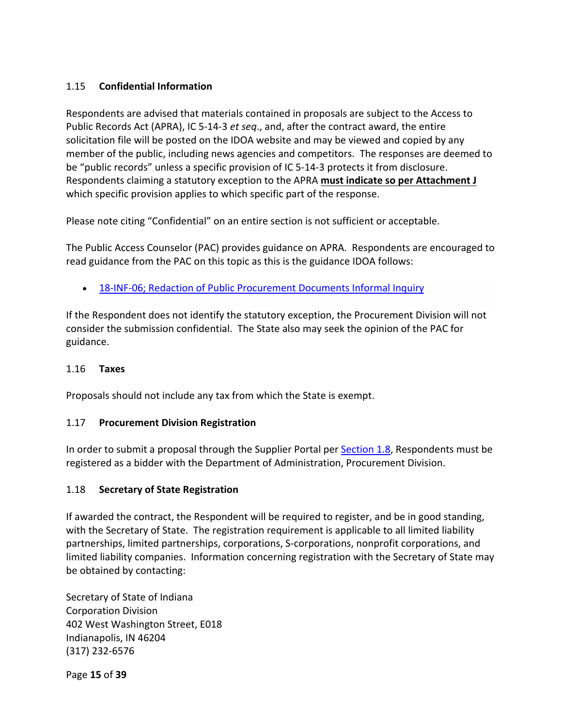### <span id="page-14-0"></span>1.15 **Confidential Information**

Respondents are advised that materials contained in proposals are subject to the Access to Public Records Act (APRA), IC 5-14-3 *et seq*., and, after the contract award, the entire solicitation file will be posted on the IDOA website and may be viewed and copied by any member of the public, including news agencies and competitors. The responses are deemed to be "public records" unless a specific provision of IC 5-14-3 protects it from disclosure. Respondents claiming a statutory exception to the APRA **must indicate so per Attachment J** which specific provision applies to which specific part of the response.

Please note citing "Confidential" on an entire section is not sufficient or acceptable.

The Public Access Counselor (PAC) provides guidance on APRA. Respondents are encouraged to read guidance from the PAC on this topic as this is the guidance IDOA follows:

• [18-INF-06; Redaction of Public Procurement Documents Informal Inquiry](https://www.in.gov/pac/informal/files/18-INF-06.pdf)

If the Respondent does not identify the statutory exception, the Procurement Division will not consider the submission confidential. The State also may seek the opinion of the PAC for guidance.

#### <span id="page-14-1"></span>1.16 **Taxes**

Proposals should not include any tax from which the State is exempt.

#### <span id="page-14-2"></span>1.17 **Procurement Division Registration**

In order to submit a proposal through the Supplier Portal per [Section 1.8,](#page-11-0) Respondents must be registered as a bidder with the Department of Administration, Procurement Division.

#### <span id="page-14-3"></span>1.18 **Secretary of State Registration**

If awarded the contract, the Respondent will be required to register, and be in good standing, with the Secretary of State. The registration requirement is applicable to all limited liability partnerships, limited partnerships, corporations, S-corporations, nonprofit corporations, and limited liability companies. Information concerning registration with the Secretary of State may be obtained by contacting:

Secretary of State of Indiana Corporation Division 402 West Washington Street, E018 Indianapolis, IN 46204 (317) 232-6576

Page **15** of **39**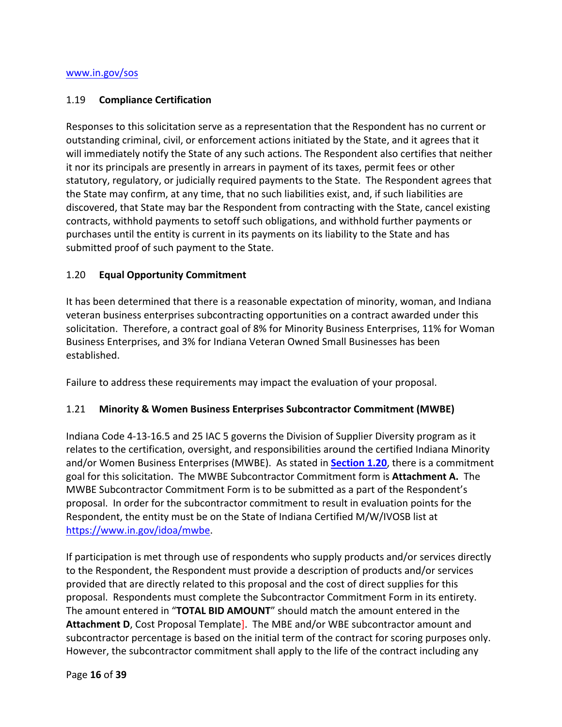#### <span id="page-15-0"></span>1.19 **Compliance Certification**

Responses to this solicitation serve as a representation that the Respondent has no current or outstanding criminal, civil, or enforcement actions initiated by the State, and it agrees that it will immediately notify the State of any such actions. The Respondent also certifies that neither it nor its principals are presently in arrears in payment of its taxes, permit fees or other statutory, regulatory, or judicially required payments to the State. The Respondent agrees that the State may confirm, at any time, that no such liabilities exist, and, if such liabilities are discovered, that State may bar the Respondent from contracting with the State, cancel existing contracts, withhold payments to setoff such obligations, and withhold further payments or purchases until the entity is current in its payments on its liability to the State and has submitted proof of such payment to the State.

#### <span id="page-15-1"></span>1.20 **Equal Opportunity Commitment**

It has been determined that there is a reasonable expectation of minority, woman, and Indiana veteran business enterprises subcontracting opportunities on a contract awarded under this solicitation. Therefore, a contract goal of 8% for Minority Business Enterprises, 11% for Woman Business Enterprises, and 3% for Indiana Veteran Owned Small Businesses has been established.

Failure to address these requirements may impact the evaluation of your proposal.

#### <span id="page-15-2"></span>1.21 **Minority & Women Business Enterprises Subcontractor Commitment (MWBE)**

Indiana Code 4-13-16.5 and 25 IAC 5 governs the Division of Supplier Diversity program as it relates to the certification, oversight, and responsibilities around the certified Indiana Minority and/or Women Business Enterprises (MWBE). As stated in **[Section 1.20](#page-15-1)**, there is a commitment goal for this solicitation. The MWBE Subcontractor Commitment form is **Attachment A.** The MWBE Subcontractor Commitment Form is to be submitted as a part of the Respondent's proposal. In order for the subcontractor commitment to result in evaluation points for the Respondent, the entity must be on the State of Indiana Certified M/W/IVOSB list at [https://www.in.gov/idoa/mwbe.](https://www.in.gov/idoa/mwbe)

If participation is met through use of respondents who supply products and/or services directly to the Respondent, the Respondent must provide a description of products and/or services provided that are directly related to this proposal and the cost of direct supplies for this proposal. Respondents must complete the Subcontractor Commitment Form in its entirety. The amount entered in "**TOTAL BID AMOUNT**" should match the amount entered in the **Attachment D**, Cost Proposal Template]. The MBE and/or WBE subcontractor amount and subcontractor percentage is based on the initial term of the contract for scoring purposes only. However, the subcontractor commitment shall apply to the life of the contract including any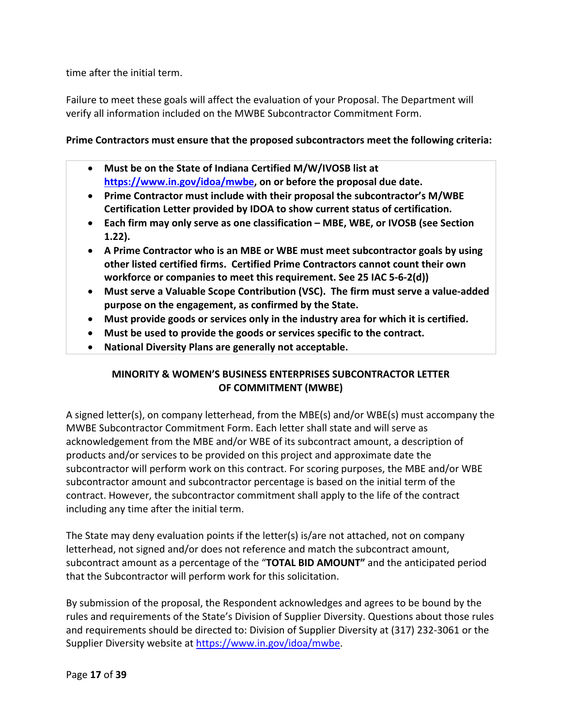time after the initial term.

Failure to meet these goals will affect the evaluation of your Proposal. The Department will verify all information included on the MWBE Subcontractor Commitment Form.

#### **Prime Contractors must ensure that the proposed subcontractors meet the following criteria:**

- **Must be on the State of Indiana Certified M/W/IVOSB list at [https://www.in.gov/idoa/mwbe,](https://www.in.gov/idoa/mwbe) on or before the proposal due date.**
- **Prime Contractor must include with their proposal the subcontractor's M/WBE Certification Letter provided by IDOA to show current status of certification.**
- **Each firm may only serve as one classification MBE, WBE, or IVOSB (see Section 1.22).**
- **A Prime Contractor who is an MBE or WBE must meet subcontractor goals by using other listed certified firms. Certified Prime Contractors cannot count their own workforce or companies to meet this requirement. See 25 IAC 5-6-2(d))**
- **Must serve a Valuable Scope Contribution (VSC). The firm must serve a value-added purpose on the engagement, as confirmed by the State.**
- **Must provide goods or services only in the industry area for which it is certified.**
- **Must be used to provide the goods or services specific to the contract.**
- **National Diversity Plans are generally not acceptable.**

## **MINORITY & WOMEN'S BUSINESS ENTERPRISES SUBCONTRACTOR LETTER OF COMMITMENT (MWBE)**

A signed letter(s), on company letterhead, from the MBE(s) and/or WBE(s) must accompany the MWBE Subcontractor Commitment Form. Each letter shall state and will serve as acknowledgement from the MBE and/or WBE of its subcontract amount, a description of products and/or services to be provided on this project and approximate date the subcontractor will perform work on this contract. For scoring purposes, the MBE and/or WBE subcontractor amount and subcontractor percentage is based on the initial term of the contract. However, the subcontractor commitment shall apply to the life of the contract including any time after the initial term.

The State may deny evaluation points if the letter(s) is/are not attached, not on company letterhead, not signed and/or does not reference and match the subcontract amount, subcontract amount as a percentage of the "**TOTAL BID AMOUNT"** and the anticipated period that the Subcontractor will perform work for this solicitation.

By submission of the proposal, the Respondent acknowledges and agrees to be bound by the rules and requirements of the State's Division of Supplier Diversity. Questions about those rules and requirements should be directed to: Division of Supplier Diversity at (317) 232-3061 or the Supplier Diversity website at [https://www.in.gov/idoa/mwbe.](https://www.in.gov/idoa/mwbe)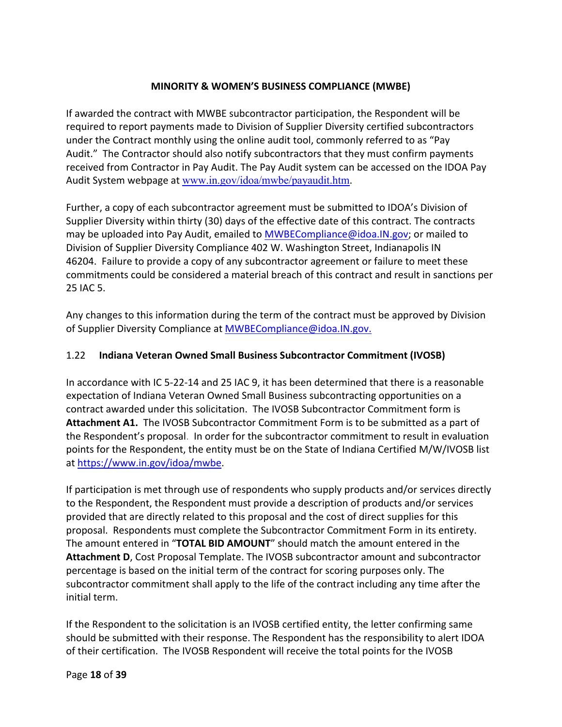#### **MINORITY & WOMEN'S BUSINESS COMPLIANCE (MWBE)**

If awarded the contract with MWBE subcontractor participation, the Respondent will be required to report payments made to Division of Supplier Diversity certified subcontractors under the Contract monthly using the online audit tool, commonly referred to as "Pay Audit." The Contractor should also notify subcontractors that they must confirm payments received from Contractor in Pay Audit. The Pay Audit system can be accessed on the IDOA Pay Audit System webpage at [www.in.gov/idoa/mwbe/payaudit.htm](http://www.in.gov/idoa/mwbe/payaudit.htm).

Further, a copy of each subcontractor agreement must be submitted to IDOA's Division of Supplier Diversity within thirty (30) days of the effective date of this contract. The contracts may be uploaded into Pay Audit, emailed to [MWBECompliance@idoa.IN.gov;](mailto:MWBECompliance@idoa.IN.gov) or mailed to Division of Supplier Diversity Compliance 402 W. Washington Street, Indianapolis IN 46204. Failure to provide a copy of any subcontractor agreement or failure to meet these commitments could be considered a material breach of this contract and result in sanctions per 25 IAC 5.

Any changes to this information during the term of the contract must be approved by Division of Supplier Diversity Compliance at [MWBECompliance@idoa.IN.gov.](mailto:MWBECompliance@idoa.IN.gov)

#### <span id="page-17-0"></span>1.22 **Indiana Veteran Owned Small Business Subcontractor Commitment (IVOSB)**

In accordance with IC 5-22-14 and 25 IAC 9, it has been determined that there is a reasonable expectation of Indiana Veteran Owned Small Business subcontracting opportunities on a contract awarded under this solicitation. The IVOSB Subcontractor Commitment form is **Attachment A1.** The IVOSB Subcontractor Commitment Form is to be submitted as a part of the Respondent's proposal. In order for the subcontractor commitment to result in evaluation points for the Respondent, the entity must be on the State of Indiana Certified M/W/IVOSB list at [https://www.in.gov/idoa/mwbe.](https://www.in.gov/idoa/mwbe)

If participation is met through use of respondents who supply products and/or services directly to the Respondent, the Respondent must provide a description of products and/or services provided that are directly related to this proposal and the cost of direct supplies for this proposal. Respondents must complete the Subcontractor Commitment Form in its entirety. The amount entered in "**TOTAL BID AMOUNT**" should match the amount entered in the **Attachment D**, Cost Proposal Template. The IVOSB subcontractor amount and subcontractor percentage is based on the initial term of the contract for scoring purposes only. The subcontractor commitment shall apply to the life of the contract including any time after the initial term.

If the Respondent to the solicitation is an IVOSB certified entity, the letter confirming same should be submitted with their response. The Respondent has the responsibility to alert IDOA of their certification. The IVOSB Respondent will receive the total points for the IVOSB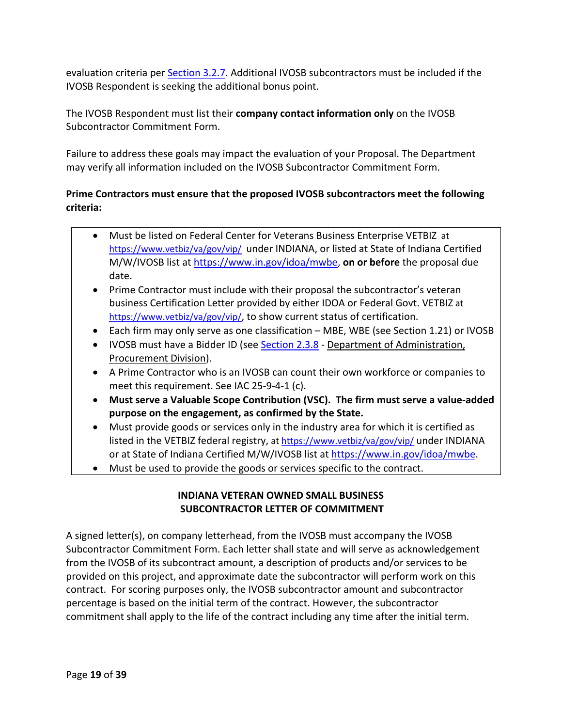evaluation criteria per [Section 3.2.7.](#page-37-0) Additional IVOSB subcontractors must be included if the IVOSB Respondent is seeking the additional bonus point.

The IVOSB Respondent must list their **company contact information only** on the IVOSB Subcontractor Commitment Form.

Failure to address these goals may impact the evaluation of your Proposal. The Department may verify all information included on the IVOSB Subcontractor Commitment Form.

## **Prime Contractors must ensure that the proposed IVOSB subcontractors meet the following criteria:**

- Must be listed on Federal Center for Veterans Business Enterprise VETBIZ at <https://www.vetbiz/va/gov/vip/> under INDIANA, or listed at State of Indiana Certified M/W/IVOSB list at [https://www.in.gov/idoa/mwbe,](https://www.in.gov/idoa/mwbe) **on or before** the proposal due date.
- Prime Contractor must include with their proposal the subcontractor's veteran business Certification Letter provided by either IDOA or Federal Govt. VETBIZ at [https://www.vetbiz/va/gov/vip/,](https://www.vetbiz/va/gov/vip/) to show current status of certification.
- Each firm may only serve as one classification MBE, WBE (see Section 1.21) or IVOSB
- IVOSB must have a Bidder ID (see [Section 2.3.8](#page-26-1)  Department of Administration, Procurement Division).
- A Prime Contractor who is an IVOSB can count their own workforce or companies to meet this requirement. See IAC 25-9-4-1 (c).
- **Must serve a Valuable Scope Contribution (VSC). The firm must serve a value-added purpose on the engagement, as confirmed by the State.**
- Must provide goods or services only in the industry area for which it is certified as listed in the VETBIZ federal registry, at<https://www.vetbiz/va/gov/vip/> under INDIANA or at State of Indiana Certified M/W/IVOSB list at [https://www.in.gov/idoa/mwbe.](https://www.in.gov/idoa/mwbe)
- Must be used to provide the goods or services specific to the contract.

## **INDIANA VETERAN OWNED SMALL BUSINESS SUBCONTRACTOR LETTER OF COMMITMENT**

A signed letter(s), on company letterhead, from the IVOSB must accompany the IVOSB Subcontractor Commitment Form. Each letter shall state and will serve as acknowledgement from the IVOSB of its subcontract amount, a description of products and/or services to be provided on this project, and approximate date the subcontractor will perform work on this contract. For scoring purposes only, the IVOSB subcontractor amount and subcontractor percentage is based on the initial term of the contract. However, the subcontractor commitment shall apply to the life of the contract including any time after the initial term.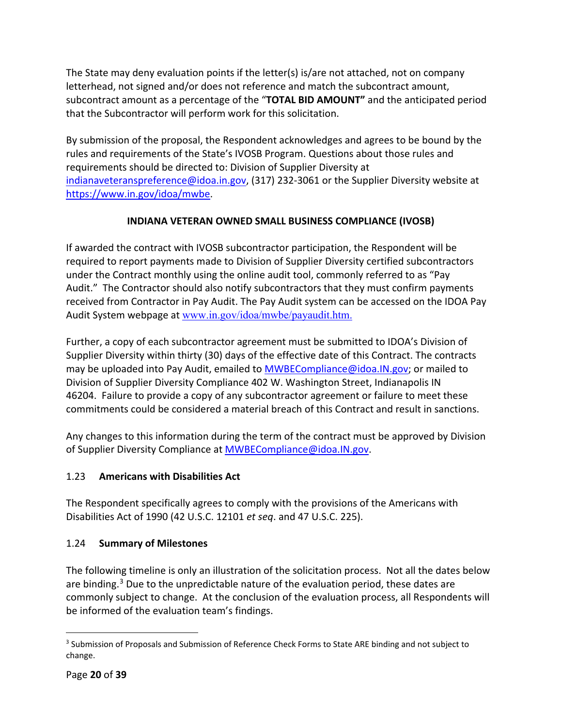The State may deny evaluation points if the letter(s) is/are not attached, not on company letterhead, not signed and/or does not reference and match the subcontract amount, subcontract amount as a percentage of the "**TOTAL BID AMOUNT"** and the anticipated period that the Subcontractor will perform work for this solicitation.

By submission of the proposal, the Respondent acknowledges and agrees to be bound by the rules and requirements of the State's IVOSB Program. Questions about those rules and requirements should be directed to: Division of Supplier Diversity at [indianaveteranspreference@idoa.in.gov,](mailto:indianaveteranspreference@idoa.in.gov) (317) 232-3061 or the Supplier Diversity website at [https://www.in.gov/idoa/mwbe.](https://www.in.gov/idoa/mwbe)

## **INDIANA VETERAN OWNED SMALL BUSINESS COMPLIANCE (IVOSB)**

If awarded the contract with IVOSB subcontractor participation, the Respondent will be required to report payments made to Division of Supplier Diversity certified subcontractors under the Contract monthly using the online audit tool, commonly referred to as "Pay Audit." The Contractor should also notify subcontractors that they must confirm payments received from Contractor in Pay Audit. The Pay Audit system can be accessed on the IDOA Pay Audit System webpage at [www.in.gov/idoa/mwbe/payaudit.htm.](http://www.in.gov/idoa/mwbe/payaudit.htm)

Further, a copy of each subcontractor agreement must be submitted to IDOA's Division of Supplier Diversity within thirty (30) days of the effective date of this Contract. The contracts may be uploaded into Pay Audit, emailed to [MWBECompliance@idoa.IN.gov;](mailto:MWBECompliance@idoa.IN.gov) or mailed to Division of Supplier Diversity Compliance 402 W. Washington Street, Indianapolis IN 46204. Failure to provide a copy of any subcontractor agreement or failure to meet these commitments could be considered a material breach of this Contract and result in sanctions.

Any changes to this information during the term of the contract must be approved by Division of Supplier Diversity Compliance at **MWBECompliance@idoa.IN.gov.** 

## <span id="page-19-0"></span>1.23 **Americans with Disabilities Act**

The Respondent specifically agrees to comply with the provisions of the Americans with Disabilities Act of 1990 (42 U.S.C. 12101 *et seq*. and 47 U.S.C. 225).

## <span id="page-19-1"></span>1.24 **Summary of Milestones**

The following timeline is only an illustration of the solicitation process. Not all the dates below are binding.<sup>[3](#page-19-2)</sup> Due to the unpredictable nature of the evaluation period, these dates are commonly subject to change. At the conclusion of the evaluation process, all Respondents will be informed of the evaluation team's findings.

<span id="page-19-2"></span><sup>&</sup>lt;sup>3</sup> Submission of Proposals and Submission of Reference Check Forms to State ARE binding and not subject to change.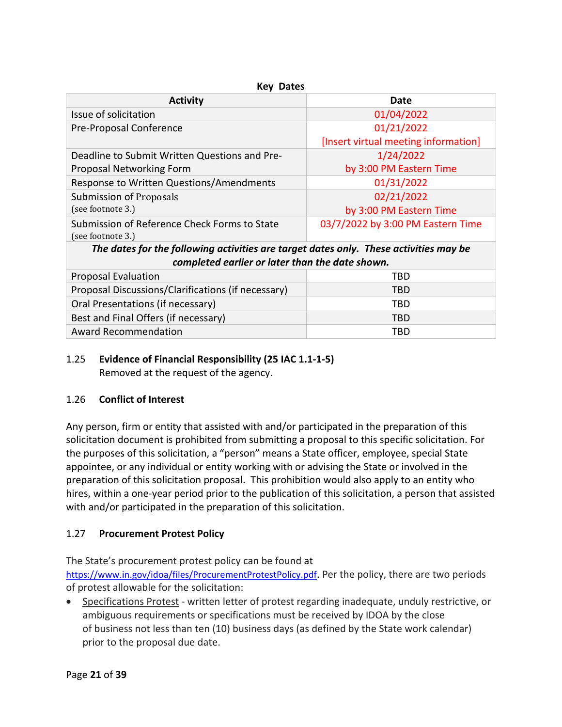| <b>Key Dates</b>                                                                      |                                      |  |  |  |  |  |  |
|---------------------------------------------------------------------------------------|--------------------------------------|--|--|--|--|--|--|
| <b>Activity</b>                                                                       | Date                                 |  |  |  |  |  |  |
| Issue of solicitation                                                                 | 01/04/2022                           |  |  |  |  |  |  |
| Pre-Proposal Conference                                                               | 01/21/2022                           |  |  |  |  |  |  |
|                                                                                       | [Insert virtual meeting information] |  |  |  |  |  |  |
| Deadline to Submit Written Questions and Pre-                                         | 1/24/2022                            |  |  |  |  |  |  |
| Proposal Networking Form                                                              | by 3:00 PM Eastern Time              |  |  |  |  |  |  |
| Response to Written Questions/Amendments                                              | 01/31/2022                           |  |  |  |  |  |  |
| Submission of Proposals                                                               | 02/21/2022                           |  |  |  |  |  |  |
| (see footnote 3.)                                                                     | by 3:00 PM Eastern Time              |  |  |  |  |  |  |
| Submission of Reference Check Forms to State                                          | 03/7/2022 by 3:00 PM Eastern Time    |  |  |  |  |  |  |
| (see footnote 3.)                                                                     |                                      |  |  |  |  |  |  |
| The dates for the following activities are target dates only. These activities may be |                                      |  |  |  |  |  |  |
| completed earlier or later than the date shown.                                       |                                      |  |  |  |  |  |  |
| <b>Proposal Evaluation</b>                                                            | TBD                                  |  |  |  |  |  |  |
| Proposal Discussions/Clarifications (if necessary)                                    | TBD                                  |  |  |  |  |  |  |
| Oral Presentations (if necessary)                                                     | TBD                                  |  |  |  |  |  |  |
| Best and Final Offers (if necessary)                                                  | <b>TBD</b>                           |  |  |  |  |  |  |
| <b>Award Recommendation</b>                                                           | TBD                                  |  |  |  |  |  |  |

#### <span id="page-20-0"></span>1.25 **Evidence of Financial Responsibility (25 IAC 1.1-1-5)** Removed at the request of the agency.

## <span id="page-20-1"></span>1.26 **Conflict of Interest**

Any person, firm or entity that assisted with and/or participated in the preparation of this solicitation document is prohibited from submitting a proposal to this specific solicitation. For the purposes of this solicitation, a "person" means a State officer, employee, special State appointee, or any individual or entity working with or advising the State or involved in the preparation of this solicitation proposal. This prohibition would also apply to an entity who hires, within a one-year period prior to the publication of this solicitation, a person that assisted with and/or participated in the preparation of this solicitation.

## <span id="page-20-2"></span>1.27 **Procurement Protest Policy**

The State's procurement protest policy can be found at

[https://www.in.gov/idoa/files/ProcurementProtestPolicy.pdf.](https://www.in.gov/idoa/files/ProcurementProtestPolicy.pdf) Per the policy, there are two periods of protest allowable for the solicitation:

• Specifications Protest - written letter of protest regarding inadequate, unduly restrictive, or ambiguous requirements or specifications must be received by IDOA by the close of business not less than ten (10) business days (as defined by the State work calendar) prior to the proposal due date.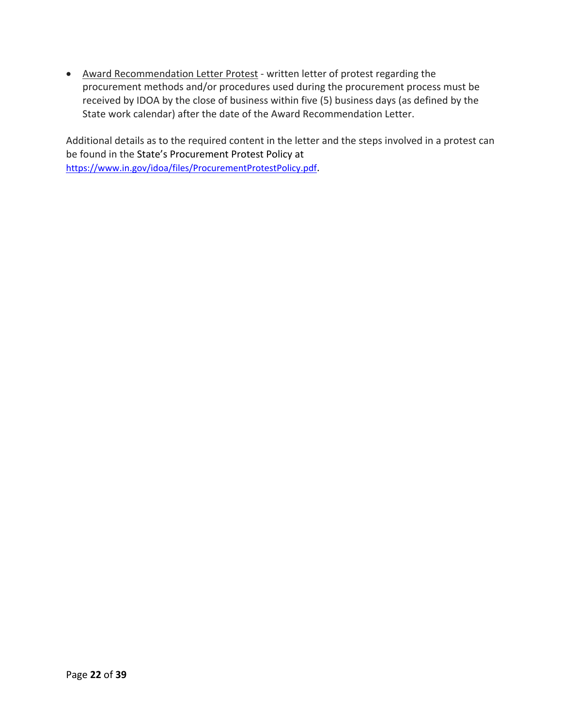• Award Recommendation Letter Protest - written letter of protest regarding the procurement methods and/or procedures used during the procurement process must be received by IDOA by the close of business within five (5) business days (as defined by the State work calendar) after the date of the Award Recommendation Letter.

Additional details as to the required content in the letter and the steps involved in a protest can be found in the State's Procurement Protest Policy at [https://www.in.gov/idoa/files/ProcurementProtestPolicy.pdf.](https://www.in.gov/idoa/files/ProcurementProtestPolicy.pdf)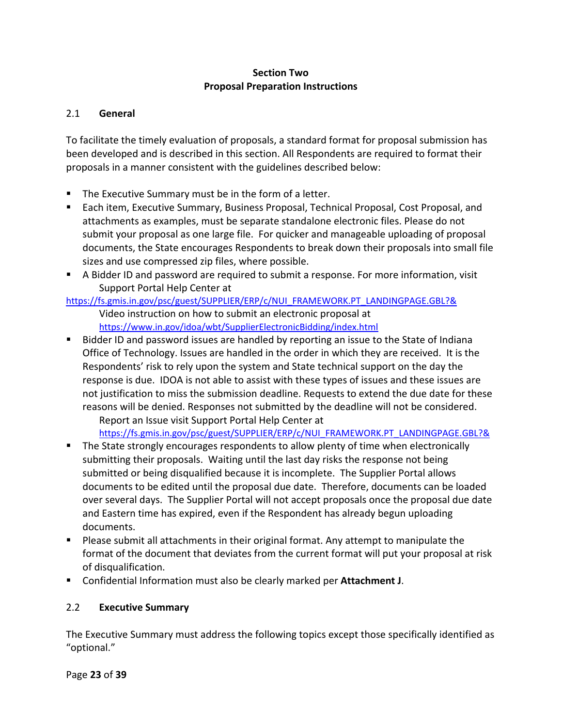#### **Section Two Proposal Preparation Instructions**

#### <span id="page-22-1"></span><span id="page-22-0"></span>2.1 **General**

To facilitate the timely evaluation of proposals, a standard format for proposal submission has been developed and is described in this section. All Respondents are required to format their proposals in a manner consistent with the guidelines described below:

- **The Executive Summary must be in the form of a letter.**
- Each item, Executive Summary, Business Proposal, Technical Proposal, Cost Proposal, and attachments as examples, must be separate standalone electronic files. Please do not submit your proposal as one large file. For quicker and manageable uploading of proposal documents, the State encourages Respondents to break down their proposals into small file sizes and use compressed zip files, where possible.
- A Bidder ID and password are required to submit a response. For more information, visit Support Portal Help Center at

#### [https://fs.gmis.in.gov/psc/guest/SUPPLIER/ERP/c/NUI\\_FRAMEWORK.PT\\_LANDINGPAGE.GBL?&](https://fs.gmis.in.gov/psc/guest/SUPPLIER/ERP/c/NUI_FRAMEWORK.PT_LANDINGPAGE.GBL?&) Video instruction on how to submit an electronic proposal at <https://www.in.gov/idoa/wbt/SupplierElectronicBidding/index.html>

**Bidder ID and password issues are handled by reporting an issue to the State of Indiana** Office of Technology. Issues are handled in the order in which they are received. It is the Respondents' risk to rely upon the system and State technical support on the day the response is due. IDOA is not able to assist with these types of issues and these issues are not justification to miss the submission deadline. Requests to extend the due date for these reasons will be denied. Responses not submitted by the deadline will not be considered. Report an Issue visit Support Portal Help Center at

[https://fs.gmis.in.gov/psc/guest/SUPPLIER/ERP/c/NUI\\_FRAMEWORK.PT\\_LANDINGPAGE.GBL?&](https://fs.gmis.in.gov/psc/guest/SUPPLIER/ERP/c/NUI_FRAMEWORK.PT_LANDINGPAGE.GBL?&)

- **The State strongly encourages respondents to allow plenty of time when electronically** submitting their proposals. Waiting until the last day risks the response not being submitted or being disqualified because it is incomplete. The Supplier Portal allows documents to be edited until the proposal due date. Therefore, documents can be loaded over several days. The Supplier Portal will not accept proposals once the proposal due date and Eastern time has expired, even if the Respondent has already begun uploading documents.
- **Please submit all attachments in their original format. Any attempt to manipulate the** format of the document that deviates from the current format will put your proposal at risk of disqualification.
- Confidential Information must also be clearly marked per **Attachment J**.

#### <span id="page-22-2"></span>2.2 **Executive Summary**

The Executive Summary must address the following topics except those specifically identified as "optional."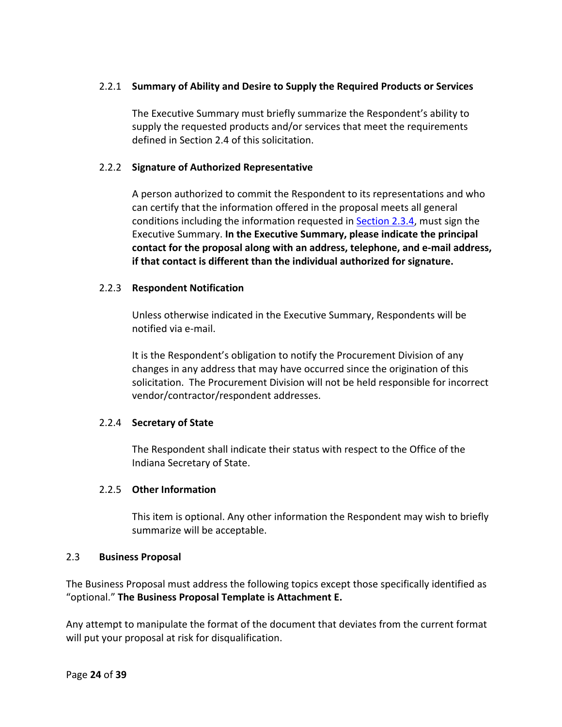#### <span id="page-23-0"></span>2.2.1 **Summary of Ability and Desire to Supply the Required Products or Services**

The Executive Summary must briefly summarize the Respondent's ability to supply the requested products and/or services that meet the requirements defined in [Section 2.4](#page-28-4) of this solicitation.

#### <span id="page-23-1"></span>2.2.2 **Signature of Authorized Representative**

A person authorized to commit the Respondent to its representations and who can certify that the information offered in the proposal meets all general conditions including the information requested in [Section 2.3.4,](#page-24-3) must sign the Executive Summary. **In the Executive Summary, please indicate the principal contact for the proposal along with an address, telephone, and e-mail address, if that contact is different than the individual authorized for signature.**

#### <span id="page-23-2"></span>2.2.3 **Respondent Notification**

Unless otherwise indicated in the Executive Summary, Respondents will be notified via e-mail.

It is the Respondent's obligation to notify the Procurement Division of any changes in any address that may have occurred since the origination of this solicitation. The Procurement Division will not be held responsible for incorrect vendor/contractor/respondent addresses.

#### <span id="page-23-3"></span>2.2.4 **Secretary of State**

The Respondent shall indicate their status with respect to the Office of the Indiana Secretary of State.

#### <span id="page-23-4"></span>2.2.5 **Other Information**

This item is optional. Any other information the Respondent may wish to briefly summarize will be acceptable.

#### <span id="page-23-5"></span>2.3 **Business Proposal**

The Business Proposal must address the following topics except those specifically identified as "optional." **The Business Proposal Template is Attachment E.** 

Any attempt to manipulate the format of the document that deviates from the current format will put your proposal at risk for disqualification.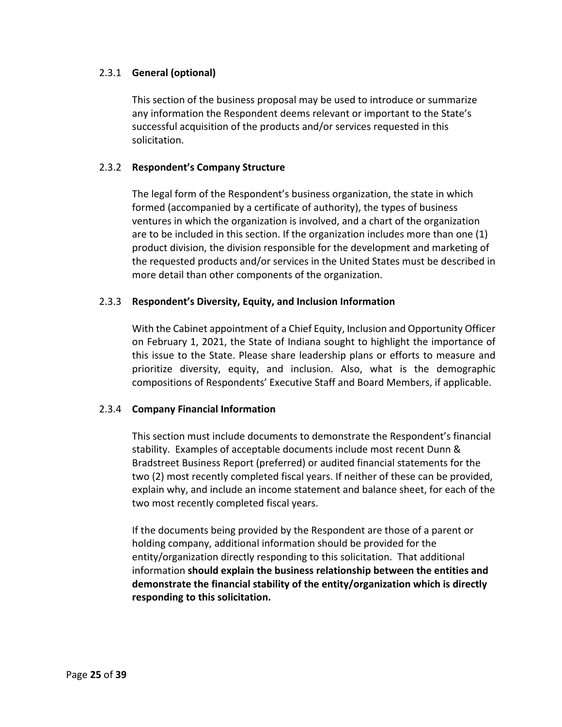#### <span id="page-24-0"></span>2.3.1 **General (optional)**

This section of the business proposal may be used to introduce or summarize any information the Respondent deems relevant or important to the State's successful acquisition of the products and/or services requested in this solicitation.

#### <span id="page-24-1"></span>2.3.2 **Respondent's Company Structure**

The legal form of the Respondent's business organization, the state in which formed (accompanied by a certificate of authority), the types of business ventures in which the organization is involved, and a chart of the organization are to be included in this section. If the organization includes more than one (1) product division, the division responsible for the development and marketing of the requested products and/or services in the United States must be described in more detail than other components of the organization.

#### <span id="page-24-2"></span>2.3.3 **Respondent's Diversity, Equity, and Inclusion Information**

With the Cabinet appointment of a Chief Equity, Inclusion and Opportunity Officer on February 1, 2021, the State of Indiana sought to highlight the importance of this issue to the State. Please share leadership plans or efforts to measure and prioritize diversity, equity, and inclusion. Also, what is the demographic compositions of Respondents' Executive Staff and Board Members, if applicable.

#### <span id="page-24-3"></span>2.3.4 **Company Financial Information**

This section must include documents to demonstrate the Respondent's financial stability. Examples of acceptable documents include most recent Dunn & Bradstreet Business Report (preferred) or audited financial statements for the two (2) most recently completed fiscal years. If neither of these can be provided, explain why, and include an income statement and balance sheet, for each of the two most recently completed fiscal years.

If the documents being provided by the Respondent are those of a parent or holding company, additional information should be provided for the entity/organization directly responding to this solicitation. That additional information **should explain the business relationship between the entities and demonstrate the financial stability of the entity/organization which is directly responding to this solicitation.**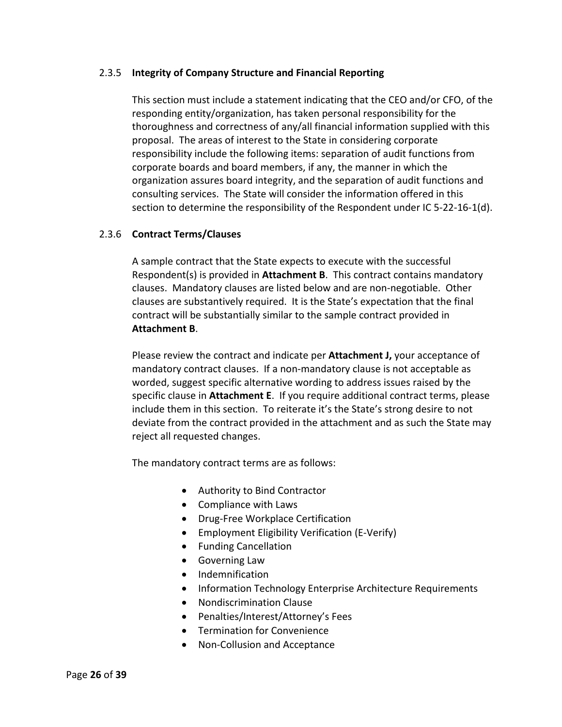#### <span id="page-25-0"></span>2.3.5 **Integrity of Company Structure and Financial Reporting**

This section must include a statement indicating that the CEO and/or CFO, of the responding entity/organization, has taken personal responsibility for the thoroughness and correctness of any/all financial information supplied with this proposal. The areas of interest to the State in considering corporate responsibility include the following items: separation of audit functions from corporate boards and board members, if any, the manner in which the organization assures board integrity, and the separation of audit functions and consulting services. The State will consider the information offered in this section to determine the responsibility of the Respondent under IC 5-22-16-1(d).

#### <span id="page-25-1"></span>2.3.6 **Contract Terms/Clauses**

A sample contract that the State expects to execute with the successful Respondent(s) is provided in **Attachment B**. This contract contains mandatory clauses. Mandatory clauses are listed below and are non-negotiable. Other clauses are substantively required. It is the State's expectation that the final contract will be substantially similar to the sample contract provided in **Attachment B**.

Please review the contract and indicate per **Attachment J,** your acceptance of mandatory contract clauses. If a non-mandatory clause is not acceptable as worded, suggest specific alternative wording to address issues raised by the specific clause in **Attachment E**. If you require additional contract terms, please include them in this section. To reiterate it's the State's strong desire to not deviate from the contract provided in the attachment and as such the State may reject all requested changes.

The mandatory contract terms are as follows:

- Authority to Bind Contractor
- Compliance with Laws
- Drug-Free Workplace Certification
- Employment Eligibility Verification (E-Verify)
- Funding Cancellation
- Governing Law
- Indemnification
- Information Technology Enterprise Architecture Requirements
- Nondiscrimination Clause
- Penalties/Interest/Attorney's Fees
- Termination for Convenience
- Non-Collusion and Acceptance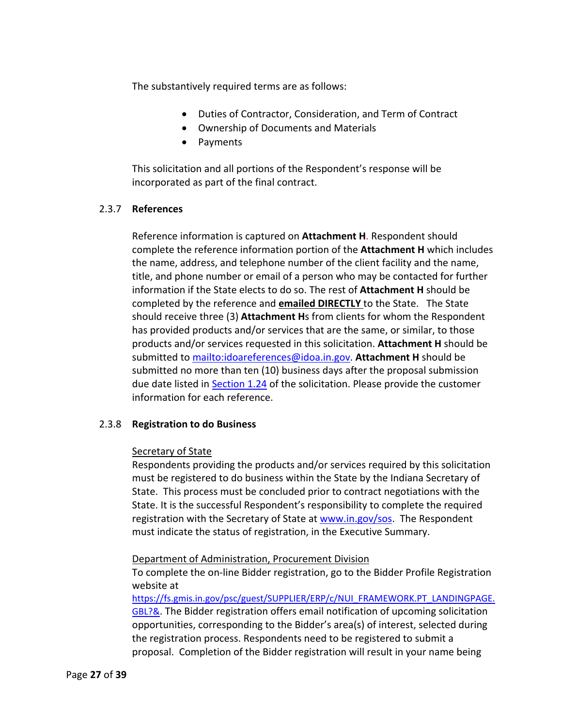The substantively required terms are as follows:

- Duties of Contractor, Consideration, and Term of Contract
- Ownership of Documents and Materials
- Payments

This solicitation and all portions of the Respondent's response will be incorporated as part of the final contract.

#### <span id="page-26-0"></span>2.3.7 **References**

Reference information is captured on **Attachment H**. Respondent should complete the reference information portion of the **Attachment H** which includes the name, address, and telephone number of the client facility and the name, title, and phone number or email of a person who may be contacted for further information if the State elects to do so. The rest of **Attachment H** should be completed by the reference and **emailed DIRECTLY** to the State. The State should receive three (3) **Attachment H**s from clients for whom the Respondent has provided products and/or services that are the same, or similar, to those products and/or services requested in this solicitation. **Attachment H** should be submitted t[o mailto:idoareferences@idoa.in.gov.](mailto:idoareferences@idoa.in.gov) **Attachment H** should be submitted no more than ten (10) business days after the proposal submission due date listed in [Section 1.24](#page-19-1) of the solicitation. Please provide the customer information for each reference.

#### <span id="page-26-1"></span>2.3.8 **Registration to do Business**

#### Secretary of State

Respondents providing the products and/or services required by this solicitation must be registered to do business within the State by the Indiana Secretary of State. This process must be concluded prior to contract negotiations with the State. It is the successful Respondent's responsibility to complete the required registration with the Secretary of State a[t www.in.gov/sos.](http://www.in.gov/sos) The Respondent must indicate the status of registration, in the Executive Summary.

Department of Administration, Procurement Division

To complete the on-line Bidder registration, go to the Bidder Profile Registration website at

[https://fs.gmis.in.gov/psc/guest/SUPPLIER/ERP/c/NUI\\_FRAMEWORK.PT\\_LANDINGPAGE.](https://fs.gmis.in.gov/psc/guest/SUPPLIER/ERP/c/NUI_FRAMEWORK.PT_LANDINGPAGE.GBL?&) [GBL?&.](https://fs.gmis.in.gov/psc/guest/SUPPLIER/ERP/c/NUI_FRAMEWORK.PT_LANDINGPAGE.GBL?&) The Bidder registration offers email notification of upcoming solicitation opportunities, corresponding to the Bidder's area(s) of interest, selected during the registration process. Respondents need to be registered to submit a proposal. Completion of the Bidder registration will result in your name being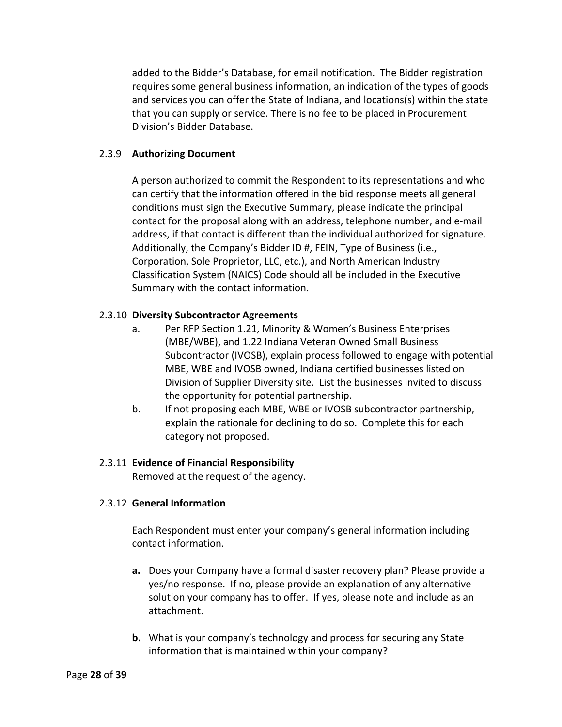added to the Bidder's Database, for email notification. The Bidder registration requires some general business information, an indication of the types of goods and services you can offer the State of Indiana, and locations(s) within the state that you can supply or service. There is no fee to be placed in Procurement Division's Bidder Database.

#### <span id="page-27-0"></span>2.3.9 **Authorizing Document**

A person authorized to commit the Respondent to its representations and who can certify that the information offered in the bid response meets all general conditions must sign the Executive Summary, please indicate the principal contact for the proposal along with an address, telephone number, and e-mail address, if that contact is different than the individual authorized for signature. Additionally, the Company's Bidder ID #, FEIN, Type of Business (i.e., Corporation, Sole Proprietor, LLC, etc.), and North American Industry Classification System (NAICS) Code should all be included in the Executive Summary with the contact information.

#### <span id="page-27-1"></span>2.3.10 **Diversity Subcontractor Agreements**

- a. Per RFP Section 1.21, Minority & Women's Business Enterprises (MBE/WBE), and 1.22 Indiana Veteran Owned Small Business Subcontractor (IVOSB), explain process followed to engage with potential MBE, WBE and IVOSB owned, Indiana certified businesses listed on Division of Supplier Diversity site. List the businesses invited to discuss the opportunity for potential partnership.
- b. If not proposing each MBE, WBE or IVOSB subcontractor partnership, explain the rationale for declining to do so. Complete this for each category not proposed.

#### <span id="page-27-2"></span>2.3.11 **Evidence of Financial Responsibility**

Removed at the request of the agency.

#### <span id="page-27-3"></span>2.3.12 **General Information**

Each Respondent must enter your company's general information including contact information.

- **a.** Does your Company have a formal disaster recovery plan? Please provide a yes/no response. If no, please provide an explanation of any alternative solution your company has to offer. If yes, please note and include as an attachment.
- **b.** What is your company's technology and process for securing any State information that is maintained within your company?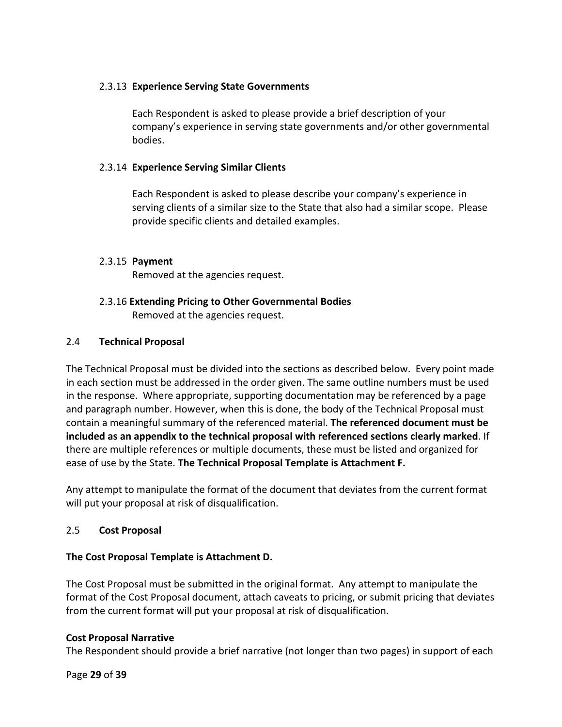#### <span id="page-28-0"></span>2.3.13 **Experience Serving State Governments**

Each Respondent is asked to please provide a brief description of your company's experience in serving state governments and/or other governmental bodies.

#### <span id="page-28-1"></span>2.3.14 **Experience Serving Similar Clients**

Each Respondent is asked to please describe your company's experience in serving clients of a similar size to the State that also had a similar scope. Please provide specific clients and detailed examples.

#### <span id="page-28-2"></span>2.3.15 **Payment**

Removed at the agencies request.

#### <span id="page-28-3"></span>2.3.16 **Extending Pricing to Other Governmental Bodies** Removed at the agencies request.

#### <span id="page-28-4"></span>2.4 **Technical Proposal**

The Technical Proposal must be divided into the sections as described below. Every point made in each section must be addressed in the order given. The same outline numbers must be used in the response. Where appropriate, supporting documentation may be referenced by a page and paragraph number. However, when this is done, the body of the Technical Proposal must contain a meaningful summary of the referenced material. **The referenced document must be included as an appendix to the technical proposal with referenced sections clearly marked**. If there are multiple references or multiple documents, these must be listed and organized for ease of use by the State. **The Technical Proposal Template is Attachment F.** 

Any attempt to manipulate the format of the document that deviates from the current format will put your proposal at risk of disqualification.

#### <span id="page-28-5"></span>2.5 **Cost Proposal**

#### **The Cost Proposal Template is Attachment D.**

The Cost Proposal must be submitted in the original format. Any attempt to manipulate the format of the Cost Proposal document, attach caveats to pricing, or submit pricing that deviates from the current format will put your proposal at risk of disqualification.

#### **Cost Proposal Narrative**

The Respondent should provide a brief narrative (not longer than two pages) in support of each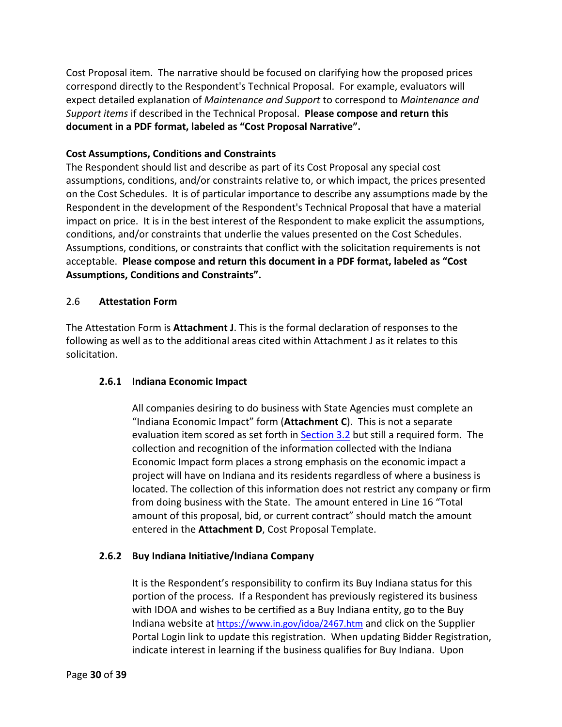Cost Proposal item. The narrative should be focused on clarifying how the proposed prices correspond directly to the Respondent's Technical Proposal. For example, evaluators will expect detailed explanation of *Maintenance and Support* to correspond to *Maintenance and Support items* if described in the Technical Proposal. **Please compose and return this document in a PDF format, labeled as "Cost Proposal Narrative".** 

#### **Cost Assumptions, Conditions and Constraints**

The Respondent should list and describe as part of its Cost Proposal any special cost assumptions, conditions, and/or constraints relative to, or which impact, the prices presented on the Cost Schedules. It is of particular importance to describe any assumptions made by the Respondent in the development of the Respondent's Technical Proposal that have a material impact on price. It is in the best interest of the Respondent to make explicit the assumptions, conditions, and/or constraints that underlie the values presented on the Cost Schedules. Assumptions, conditions, or constraints that conflict with the solicitation requirements is not acceptable. **Please compose and return this document in a PDF format, labeled as "Cost Assumptions, Conditions and Constraints".**

#### <span id="page-29-0"></span>2.6 **Attestation Form**

The Attestation Form is **Attachment J**. This is the formal declaration of responses to the following as well as to the additional areas cited within Attachment J as it relates to this solicitation.

#### <span id="page-29-1"></span>**2.6.1 Indiana Economic Impact**

All companies desiring to do business with State Agencies must complete an "Indiana Economic Impact" form (**Attachment C**). This is not a separate evaluation item scored as set forth in **Section 3.2** but still a required form. The collection and recognition of the information collected with the Indiana Economic Impact form places a strong emphasis on the economic impact a project will have on Indiana and its residents regardless of where a business is located. The collection of this information does not restrict any company or firm from doing business with the State. The amount entered in Line 16 "Total amount of this proposal, bid, or current contract" should match the amount entered in the **Attachment D**, Cost Proposal Template.

#### <span id="page-29-2"></span>**2.6.2 Buy Indiana Initiative/Indiana Company**

It is the Respondent's responsibility to confirm its Buy Indiana status for this portion of the process. If a Respondent has previously registered its business with IDOA and wishes to be certified as a Buy Indiana entity, go to the Buy Indiana website at<https://www.in.gov/idoa/2467.htm> and click on the Supplier Portal Login link to update this registration. When updating Bidder Registration, indicate interest in learning if the business qualifies for Buy Indiana. Upon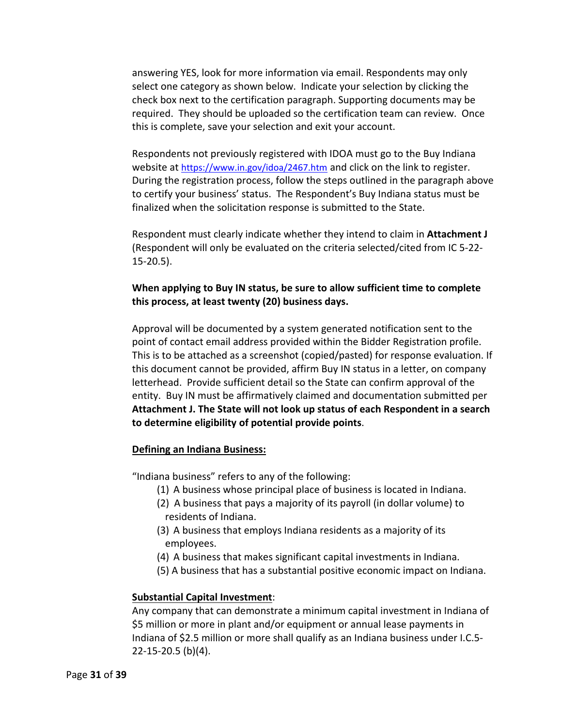answering YES, look for more information via email. Respondents may only select one category as shown below. Indicate your selection by clicking the check box next to the certification paragraph. Supporting documents may be required. They should be uploaded so the certification team can review. Once this is complete, save your selection and exit your account.

Respondents not previously registered with IDOA must go to the Buy Indiana website at<https://www.in.gov/idoa/2467.htm> and click on the link to register. During the registration process, follow the steps outlined in the paragraph above to certify your business' status. The Respondent's Buy Indiana status must be finalized when the solicitation response is submitted to the State.

Respondent must clearly indicate whether they intend to claim in **Attachment J** (Respondent will only be evaluated on the criteria selected/cited from IC 5-22- 15-20.5).

#### **When applying to Buy IN status, be sure to allow sufficient time to complete this process, at least twenty (20) business days.**

Approval will be documented by a system generated notification sent to the point of contact email address provided within the Bidder Registration profile. This is to be attached as a screenshot (copied/pasted) for response evaluation. If this document cannot be provided, affirm Buy IN status in a letter, on company letterhead. Provide sufficient detail so the State can confirm approval of the entity. Buy IN must be affirmatively claimed and documentation submitted per **Attachment J. The State will not look up status of each Respondent in a search to determine eligibility of potential provide points**.

#### **Defining an Indiana Business:**

"Indiana business" refers to any of the following:

- (1) A business whose principal place of business is located in Indiana.
- (2) A business that pays a majority of its payroll (in dollar volume) to residents of Indiana.
- (3) A business that employs Indiana residents as a majority of its employees.
- (4) A business that makes significant capital investments in Indiana.
- (5) A business that has a substantial positive economic impact on Indiana.

#### **Substantial Capital Investment**:

Any company that can demonstrate a minimum capital investment in Indiana of \$5 million or more in plant and/or equipment or annual lease payments in Indiana of \$2.5 million or more shall qualify as an Indiana business under I.C.5- 22-15-20.5 (b)(4).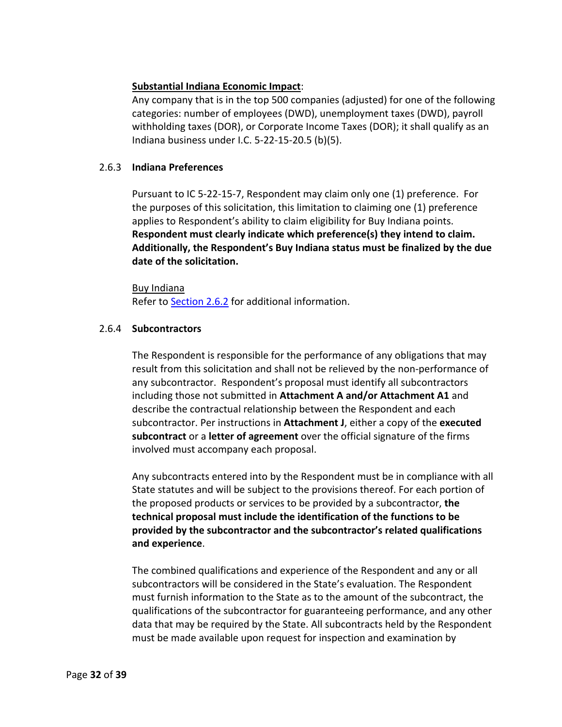#### **Substantial Indiana Economic Impact**:

Any company that is in the top 500 companies (adjusted) for one of the following categories: number of employees (DWD), unemployment taxes (DWD), payroll withholding taxes (DOR), or Corporate Income Taxes (DOR); it shall qualify as an Indiana business under I.C. 5-22-15-20.5 (b)(5).

#### <span id="page-31-0"></span>2.6.3 **Indiana Preferences**

Pursuant to IC 5-22-15-7, Respondent may claim only one (1) preference. For the purposes of this solicitation, this limitation to claiming one (1) preference applies to Respondent's ability to claim eligibility for Buy Indiana points. **Respondent must clearly indicate which preference(s) they intend to claim. Additionally, the Respondent's Buy Indiana status must be finalized by the due date of the solicitation.** 

Buy Indiana Refer to [Section 2.6.2](#page-29-2) for additional information.

#### <span id="page-31-1"></span>2.6.4 **Subcontractors**

The Respondent is responsible for the performance of any obligations that may result from this solicitation and shall not be relieved by the non-performance of any subcontractor. Respondent's proposal must identify all subcontractors including those not submitted in **Attachment A and/or Attachment A1** and describe the contractual relationship between the Respondent and each subcontractor. Per instructions in **Attachment J**, either a copy of the **executed subcontract** or a **letter of agreement** over the official signature of the firms involved must accompany each proposal.

Any subcontracts entered into by the Respondent must be in compliance with all State statutes and will be subject to the provisions thereof. For each portion of the proposed products or services to be provided by a subcontractor, **the technical proposal must include the identification of the functions to be provided by the subcontractor and the subcontractor's related qualifications and experience**.

The combined qualifications and experience of the Respondent and any or all subcontractors will be considered in the State's evaluation. The Respondent must furnish information to the State as to the amount of the subcontract, the qualifications of the subcontractor for guaranteeing performance, and any other data that may be required by the State. All subcontracts held by the Respondent must be made available upon request for inspection and examination by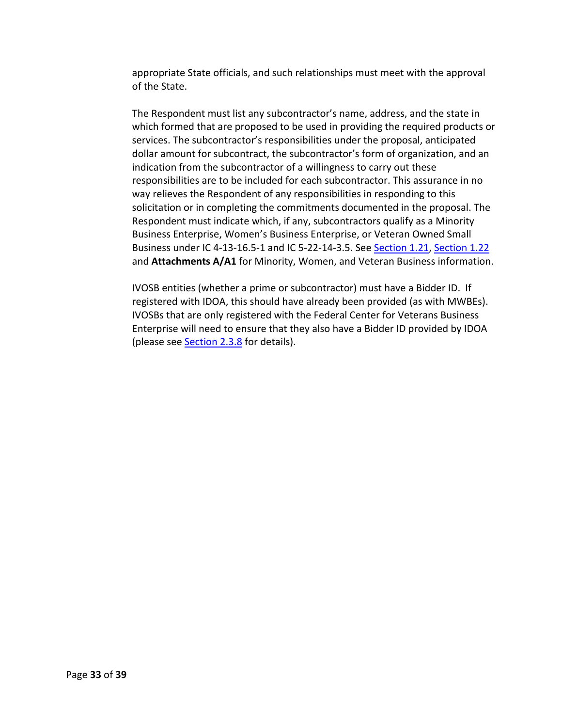appropriate State officials, and such relationships must meet with the approval of the State.

The Respondent must list any subcontractor's name, address, and the state in which formed that are proposed to be used in providing the required products or services. The subcontractor's responsibilities under the proposal, anticipated dollar amount for subcontract, the subcontractor's form of organization, and an indication from the subcontractor of a willingness to carry out these responsibilities are to be included for each subcontractor. This assurance in no way relieves the Respondent of any responsibilities in responding to this solicitation or in completing the commitments documented in the proposal. The Respondent must indicate which, if any, subcontractors qualify as a Minority Business Enterprise, Women's Business Enterprise, or Veteran Owned Small Business under IC 4-13-16.5-1 and IC 5-22-14-3.5. See [Section 1.21,](#page-15-2) [Section 1.22](#page-17-0) and **Attachments A/A1** for Minority, Women, and Veteran Business information.

IVOSB entities (whether a prime or subcontractor) must have a Bidder ID. If registered with IDOA, this should have already been provided (as with MWBEs). IVOSBs that are only registered with the Federal Center for Veterans Business Enterprise will need to ensure that they also have a Bidder ID provided by IDOA (please see [Section 2.3.8](#page-26-1) for details).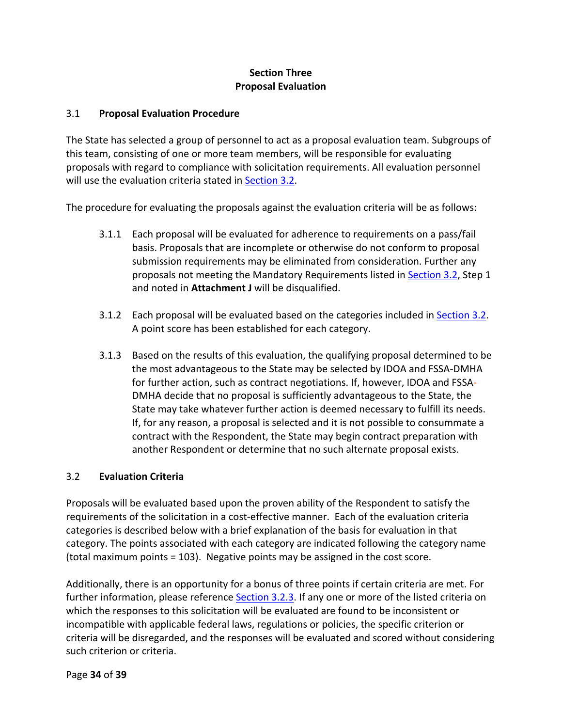### **Section Three Proposal Evaluation**

#### <span id="page-33-1"></span><span id="page-33-0"></span>3.1 **Proposal Evaluation Procedure**

The State has selected a group of personnel to act as a proposal evaluation team. Subgroups of this team, consisting of one or more team members, will be responsible for evaluating proposals with regard to compliance with solicitation requirements. All evaluation personnel will use the evaluation criteria stated in [Section 3.2.](#page-33-2)

The procedure for evaluating the proposals against the evaluation criteria will be as follows:

- 3.1.1 Each proposal will be evaluated for adherence to requirements on a pass/fail basis. Proposals that are incomplete or otherwise do not conform to proposal submission requirements may be eliminated from consideration. Further any proposals not meeting the Mandatory Requirements listed i[n Section 3.2,](#page-33-2) Step 1 and noted in **Attachment J** will be disqualified.
- 3.1.2 Each proposal will be evaluated based on the categories included in [Section 3.2.](#page-33-2) A point score has been established for each category.
- 3.1.3 Based on the results of this evaluation, the qualifying proposal determined to be the most advantageous to the State may be selected by IDOA and FSSA-DMHA for further action, such as contract negotiations. If, however, IDOA and FSSA-DMHA decide that no proposal is sufficiently advantageous to the State, the State may take whatever further action is deemed necessary to fulfill its needs. If, for any reason, a proposal is selected and it is not possible to consummate a contract with the Respondent, the State may begin contract preparation with another Respondent or determine that no such alternate proposal exists.

#### <span id="page-33-2"></span>3.2 **Evaluation Criteria**

Proposals will be evaluated based upon the proven ability of the Respondent to satisfy the requirements of the solicitation in a cost-effective manner. Each of the evaluation criteria categories is described below with a brief explanation of the basis for evaluation in that category. The points associated with each category are indicated following the category name (total maximum points = 103). Negative points may be assigned in the cost score.

Additionally, there is an opportunity for a bonus of three points if certain criteria are met. For further information, please reference [Section 3.2.3.](#page-35-2) If any one or more of the listed criteria on which the responses to this solicitation will be evaluated are found to be inconsistent or incompatible with applicable federal laws, regulations or policies, the specific criterion or criteria will be disregarded, and the responses will be evaluated and scored without considering such criterion or criteria.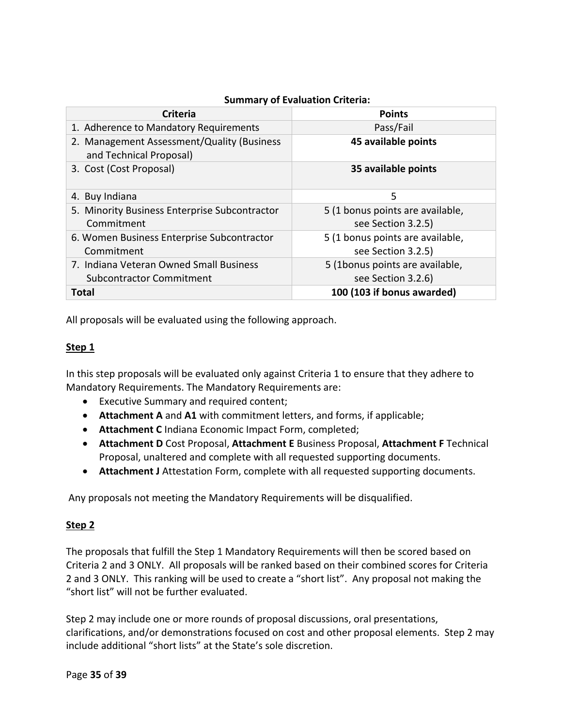| <b>Criteria</b>                                                        | <b>Points</b>                    |
|------------------------------------------------------------------------|----------------------------------|
| 1. Adherence to Mandatory Requirements                                 | Pass/Fail                        |
| 2. Management Assessment/Quality (Business)<br>and Technical Proposal) | 45 available points              |
| 3. Cost (Cost Proposal)                                                | 35 available points              |
| 4. Buy Indiana                                                         | 5                                |
| 5. Minority Business Enterprise Subcontractor                          | 5 (1 bonus points are available, |
| Commitment                                                             | see Section 3.2.5)               |
| 6. Women Business Enterprise Subcontractor                             | 5 (1 bonus points are available, |
| Commitment                                                             | see Section 3.2.5)               |
| 7. Indiana Veteran Owned Small Business                                | 5 (1bonus points are available,  |
| <b>Subcontractor Commitment</b>                                        | see Section 3.2.6)               |
| <b>Total</b>                                                           | 100 (103 if bonus awarded)       |

#### **Summary of Evaluation Criteria:**

All proposals will be evaluated using the following approach.

#### **Step 1**

In this step proposals will be evaluated only against Criteria 1 to ensure that they adhere to Mandatory Requirements. The Mandatory Requirements are:

- Executive Summary and required content;
- **Attachment A** and **A1** with commitment letters, and forms, if applicable;
- **Attachment C** Indiana Economic Impact Form, completed;
- **Attachment D** Cost Proposal, **Attachment E** Business Proposal, **Attachment F** Technical Proposal, unaltered and complete with all requested supporting documents.
- **Attachment J** Attestation Form, complete with all requested supporting documents.

Any proposals not meeting the Mandatory Requirements will be disqualified.

#### **Step 2**

The proposals that fulfill the Step 1 Mandatory Requirements will then be scored based on Criteria 2 and 3 ONLY. All proposals will be ranked based on their combined scores for Criteria 2 and 3 ONLY. This ranking will be used to create a "short list". Any proposal not making the "short list" will not be further evaluated.

Step 2 may include one or more rounds of proposal discussions, oral presentations, clarifications, and/or demonstrations focused on cost and other proposal elements. Step 2 may include additional "short lists" at the State's sole discretion.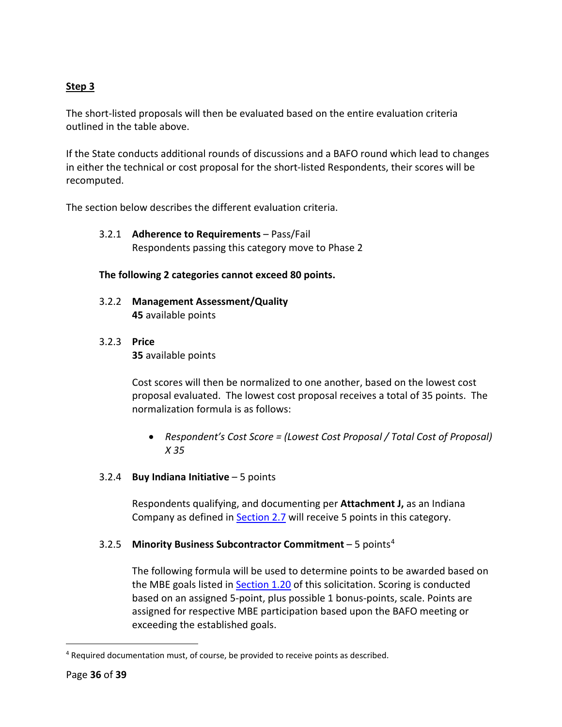#### **Step 3**

The short-listed proposals will then be evaluated based on the entire evaluation criteria outlined in the table above.

If the State conducts additional rounds of discussions and a BAFO round which lead to changes in either the technical or cost proposal for the short-listed Respondents, their scores will be recomputed.

<span id="page-35-0"></span>The section below describes the different evaluation criteria.

3.2.1 **Adherence to Requirements** – Pass/Fail Respondents passing this category move to Phase 2

#### **The following 2 categories cannot exceed 80 points.**

- <span id="page-35-1"></span>3.2.2 **Management Assessment/Quality 45** available points
- <span id="page-35-2"></span>3.2.3 **Price**

**35** available points

Cost scores will then be normalized to one another, based on the lowest cost proposal evaluated. The lowest cost proposal receives a total of 35 points. The normalization formula is as follows:

• *Respondent's Cost Score = (Lowest Cost Proposal / Total Cost of Proposal) X 35*

#### <span id="page-35-3"></span>3.2.4 **Buy Indiana Initiative** – 5 points

Respondents qualifying, and documenting per **Attachment J,** as an Indiana Company as defined in **Section 2.7** will receive 5 points in this category.

#### <span id="page-35-4"></span>3.2.5 **Minority Business Subcontractor Commitment** – 5 points[4](#page-35-5)

The following formula will be used to determine points to be awarded based on the MBE goals listed in [Section 1.20](#page-15-1) of this solicitation. Scoring is conducted based on an assigned 5-point, plus possible 1 bonus-points, scale. Points are assigned for respective MBE participation based upon the BAFO meeting or exceeding the established goals.

<span id="page-35-5"></span><sup>4</sup> Required documentation must, of course, be provided to receive points as described.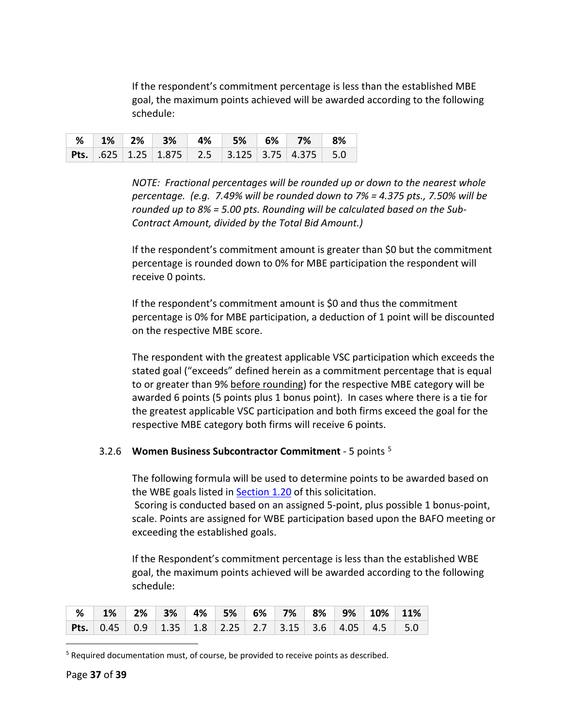If the respondent's commitment percentage is less than the established MBE goal, the maximum points achieved will be awarded according to the following schedule:

|  |  |  | <b>2% 1% 2% 3% 4% 5% 6% 7% 8%</b>                                                              |  |
|--|--|--|------------------------------------------------------------------------------------------------|--|
|  |  |  | <b>Pts.</b> $.625 \mid 1.25 \mid 1.875 \mid 2.5 \mid 3.125 \mid 3.75 \mid 4.375 \mid 5.0 \mid$ |  |

*NOTE: Fractional percentages will be rounded up or down to the nearest whole percentage. (e.g. 7.49% will be rounded down to 7% = 4.375 pts., 7.50% will be rounded up to 8% = 5.00 pts. Rounding will be calculated based on the Sub-Contract Amount, divided by the Total Bid Amount.)* 

If the respondent's commitment amount is greater than \$0 but the commitment percentage is rounded down to 0% for MBE participation the respondent will receive 0 points.

If the respondent's commitment amount is \$0 and thus the commitment percentage is 0% for MBE participation, a deduction of 1 point will be discounted on the respective MBE score.

The respondent with the greatest applicable VSC participation which exceeds the stated goal ("exceeds" defined herein as a commitment percentage that is equal to or greater than 9% before rounding) for the respective MBE category will be awarded 6 points (5 points plus 1 bonus point). In cases where there is a tie for the greatest applicable VSC participation and both firms exceed the goal for the respective MBE category both firms will receive 6 points.

#### <span id="page-36-0"></span>3.2.6 **Women Business Subcontractor Commitment** - 5 points [5](#page-36-1)

The following formula will be used to determine points to be awarded based on the WBE goals listed in [Section 1.20](#page-15-1) of this solicitation.

Scoring is conducted based on an assigned 5-point, plus possible 1 bonus-point, scale. Points are assigned for WBE participation based upon the BAFO meeting or exceeding the established goals.

If the Respondent's commitment percentage is less than the established WBE goal, the maximum points achieved will be awarded according to the following schedule:

| <b>2% 1% 2% 3% 4% 5% 6% 7% 8% 9% 10% 11%</b> |  |  |  |  |  |
|----------------------------------------------|--|--|--|--|--|
|                                              |  |  |  |  |  |

<span id="page-36-1"></span><sup>&</sup>lt;sup>5</sup> Required documentation must, of course, be provided to receive points as described.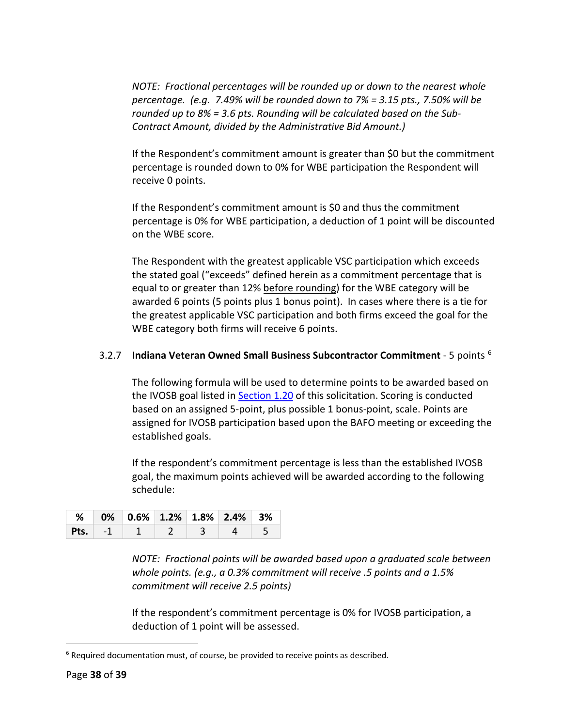*NOTE: Fractional percentages will be rounded up or down to the nearest whole percentage. (e.g. 7.49% will be rounded down to 7% = 3.15 pts., 7.50% will be rounded up to 8% = 3.6 pts. Rounding will be calculated based on the Sub-Contract Amount, divided by the Administrative Bid Amount.)* 

If the Respondent's commitment amount is greater than \$0 but the commitment percentage is rounded down to 0% for WBE participation the Respondent will receive 0 points.

If the Respondent's commitment amount is \$0 and thus the commitment percentage is 0% for WBE participation, a deduction of 1 point will be discounted on the WBE score.

The Respondent with the greatest applicable VSC participation which exceeds the stated goal ("exceeds" defined herein as a commitment percentage that is equal to or greater than 12% before rounding) for the WBE category will be awarded 6 points (5 points plus 1 bonus point). In cases where there is a tie for the greatest applicable VSC participation and both firms exceed the goal for the WBE category both firms will receive 6 points.

#### <span id="page-37-0"></span>3.2.7 **Indiana Veteran Owned Small Business Subcontractor Commitment** - 5 points [6](#page-37-1)

The following formula will be used to determine points to be awarded based on the IVOSB goal listed in **Section 1.20** of this solicitation. Scoring is conducted based on an assigned 5-point, plus possible 1 bonus-point, scale. Points are assigned for IVOSB participation based upon the BAFO meeting or exceeding the established goals.

If the respondent's commitment percentage is less than the established IVOSB goal, the maximum points achieved will be awarded according to the following schedule:

|  | $\frac{1}{2}$ % 0% 0.6% 1.2% 1.8% 2.4% 3% |  |  |
|--|-------------------------------------------|--|--|
|  | <b>Pts.</b> $-1$ 1 2 3                    |  |  |

*NOTE: Fractional points will be awarded based upon a graduated scale between whole points. (e.g., a 0.3% commitment will receive .5 points and a 1.5% commitment will receive 2.5 points)*

If the respondent's commitment percentage is 0% for IVOSB participation, a deduction of 1 point will be assessed.

<span id="page-37-1"></span><sup>&</sup>lt;sup>6</sup> Required documentation must, of course, be provided to receive points as described.